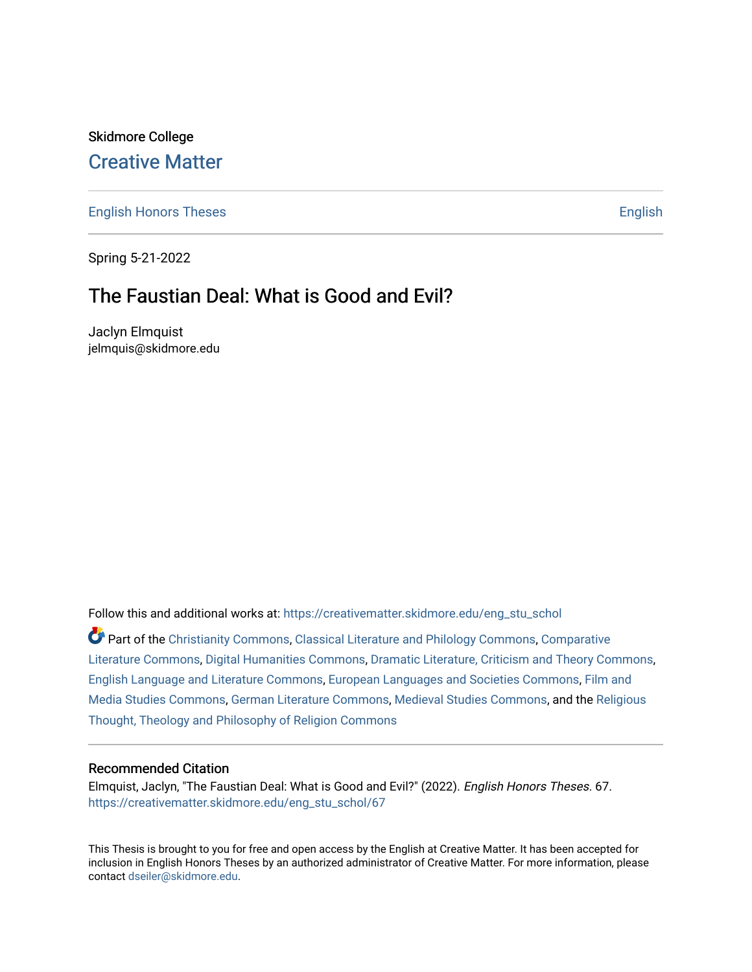# Skidmore College [Creative Matter](https://creativematter.skidmore.edu/)

[English Honors Theses](https://creativematter.skidmore.edu/eng_stu_schol) **English** English

Spring 5-21-2022

# The Faustian Deal: What is Good and Evil?

Jaclyn Elmquist jelmquis@skidmore.edu

Follow this and additional works at: [https://creativematter.skidmore.edu/eng\\_stu\\_schol](https://creativematter.skidmore.edu/eng_stu_schol?utm_source=creativematter.skidmore.edu%2Feng_stu_schol%2F67&utm_medium=PDF&utm_campaign=PDFCoverPages) 

Part of the [Christianity Commons,](https://network.bepress.com/hgg/discipline/1181?utm_source=creativematter.skidmore.edu%2Feng_stu_schol%2F67&utm_medium=PDF&utm_campaign=PDFCoverPages) [Classical Literature and Philology Commons](https://network.bepress.com/hgg/discipline/451?utm_source=creativematter.skidmore.edu%2Feng_stu_schol%2F67&utm_medium=PDF&utm_campaign=PDFCoverPages), [Comparative](https://network.bepress.com/hgg/discipline/454?utm_source=creativematter.skidmore.edu%2Feng_stu_schol%2F67&utm_medium=PDF&utm_campaign=PDFCoverPages) [Literature Commons,](https://network.bepress.com/hgg/discipline/454?utm_source=creativematter.skidmore.edu%2Feng_stu_schol%2F67&utm_medium=PDF&utm_campaign=PDFCoverPages) [Digital Humanities Commons,](https://network.bepress.com/hgg/discipline/1286?utm_source=creativematter.skidmore.edu%2Feng_stu_schol%2F67&utm_medium=PDF&utm_campaign=PDFCoverPages) [Dramatic Literature, Criticism and Theory Commons](https://network.bepress.com/hgg/discipline/555?utm_source=creativematter.skidmore.edu%2Feng_stu_schol%2F67&utm_medium=PDF&utm_campaign=PDFCoverPages), [English Language and Literature Commons](https://network.bepress.com/hgg/discipline/455?utm_source=creativematter.skidmore.edu%2Feng_stu_schol%2F67&utm_medium=PDF&utm_campaign=PDFCoverPages), [European Languages and Societies Commons,](https://network.bepress.com/hgg/discipline/482?utm_source=creativematter.skidmore.edu%2Feng_stu_schol%2F67&utm_medium=PDF&utm_campaign=PDFCoverPages) [Film and](https://network.bepress.com/hgg/discipline/563?utm_source=creativematter.skidmore.edu%2Feng_stu_schol%2F67&utm_medium=PDF&utm_campaign=PDFCoverPages)  [Media Studies Commons,](https://network.bepress.com/hgg/discipline/563?utm_source=creativematter.skidmore.edu%2Feng_stu_schol%2F67&utm_medium=PDF&utm_campaign=PDFCoverPages) [German Literature Commons,](https://network.bepress.com/hgg/discipline/469?utm_source=creativematter.skidmore.edu%2Feng_stu_schol%2F67&utm_medium=PDF&utm_campaign=PDFCoverPages) [Medieval Studies Commons,](https://network.bepress.com/hgg/discipline/480?utm_source=creativematter.skidmore.edu%2Feng_stu_schol%2F67&utm_medium=PDF&utm_campaign=PDFCoverPages) and the [Religious](https://network.bepress.com/hgg/discipline/544?utm_source=creativematter.skidmore.edu%2Feng_stu_schol%2F67&utm_medium=PDF&utm_campaign=PDFCoverPages) [Thought, Theology and Philosophy of Religion Commons](https://network.bepress.com/hgg/discipline/544?utm_source=creativematter.skidmore.edu%2Feng_stu_schol%2F67&utm_medium=PDF&utm_campaign=PDFCoverPages)

#### Recommended Citation

Elmquist, Jaclyn, "The Faustian Deal: What is Good and Evil?" (2022). English Honors Theses. 67. [https://creativematter.skidmore.edu/eng\\_stu\\_schol/67](https://creativematter.skidmore.edu/eng_stu_schol/67?utm_source=creativematter.skidmore.edu%2Feng_stu_schol%2F67&utm_medium=PDF&utm_campaign=PDFCoverPages)

This Thesis is brought to you for free and open access by the English at Creative Matter. It has been accepted for inclusion in English Honors Theses by an authorized administrator of Creative Matter. For more information, please contact [dseiler@skidmore.edu.](mailto:dseiler@skidmore.edu)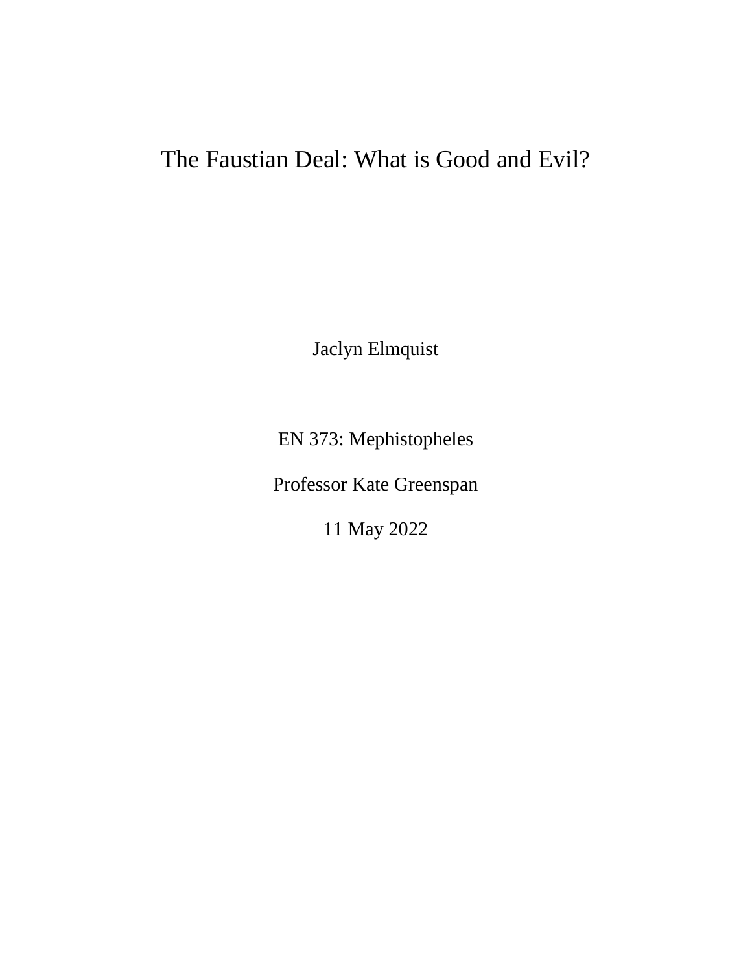# The Faustian Deal: What is Good and Evil?

Jaclyn Elmquist

EN 373: Mephistopheles

Professor Kate Greenspan

11 May 2022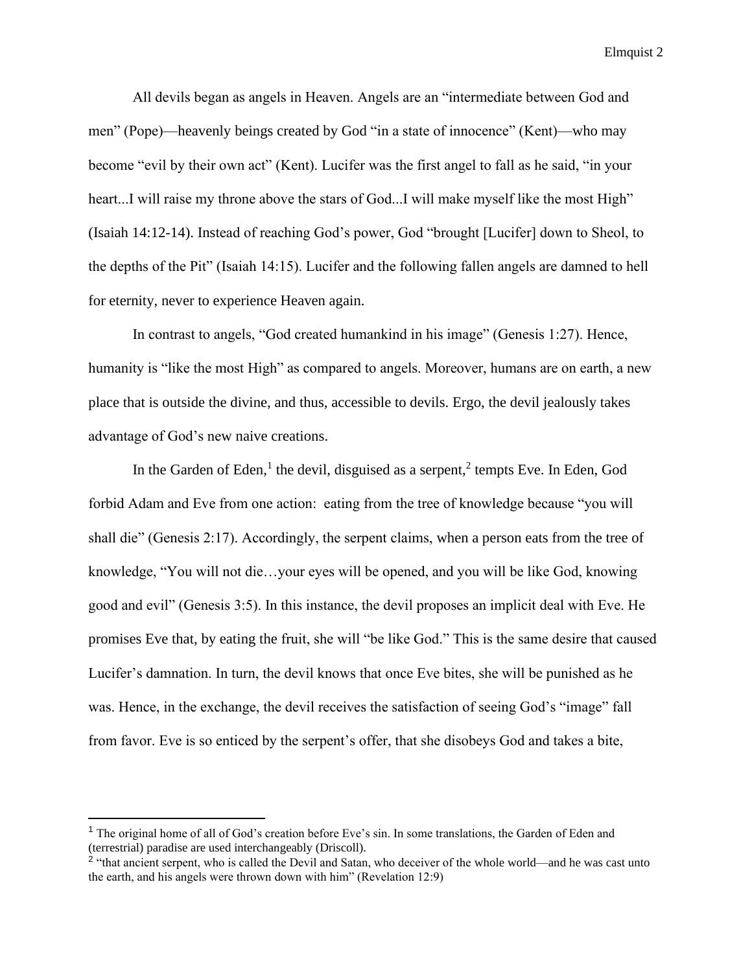All devils began as angels in Heaven. Angels are an "intermediate between God and men" (Pope)—heavenly beings created by God "in a state of innocence" (Kent)—who may become "evil by their own act" (Kent). Lucifer was the first angel to fall as he said, "in your heart...I will raise my throne above the stars of God...I will make myself like the most High" (Isaiah 14:12-14). Instead of reaching God's power, God "brought [Lucifer] down to Sheol, to the depths of the Pit" (Isaiah 14:15). Lucifer and the following fallen angels are damned to hell for eternity, never to experience Heaven again.

In contrast to angels, "God created humankind in his image" (Genesis 1:27). Hence, humanity is "like the most High" as compared to angels. Moreover, humans are on earth, a new place that is outside the divine, and thus, accessible to devils. Ergo, the devil jealously takes advantage of God's new naive creations.

In the Garden of Eden,<sup>1</sup> the devil, disguised as a serpent,<sup>2</sup> tempts Eve. In Eden, God forbid Adam and Eve from one action: eating from the tree of knowledge because "you will shall die" (Genesis 2:17). Accordingly, the serpent claims, when a person eats from the tree of knowledge, "You will not die…your eyes will be opened, and you will be like God, knowing good and evil" (Genesis 3:5). In this instance, the devil proposes an implicit deal with Eve. He promises Eve that, by eating the fruit, she will "be like God." This is the same desire that caused Lucifer's damnation. In turn, the devil knows that once Eve bites, she will be punished as he was. Hence, in the exchange, the devil receives the satisfaction of seeing God's "image" fall from favor. Eve is so enticed by the serpent's offer, that she disobeys God and takes a bite,

<sup>&</sup>lt;sup>1</sup> The original home of all of God's creation before Eve's sin. In some translations, the Garden of Eden and (terrestrial) paradise are used interchangeably (Driscoll).

<sup>&</sup>lt;sup>2</sup> "that ancient serpent, who is called the Devil and Satan, who deceiver of the whole world—and he was cast unto the earth, and his angels were thrown down with him" (Revelation 12:9)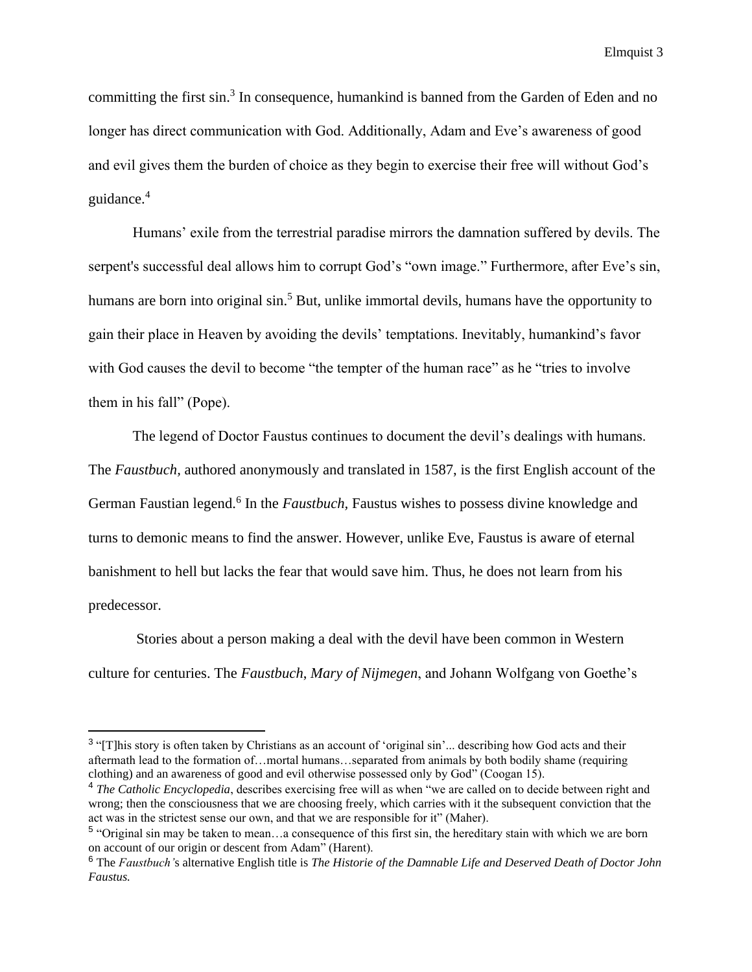committing the first sin.<sup>3</sup> In consequence, humankind is banned from the Garden of Eden and no longer has direct communication with God. Additionally, Adam and Eve's awareness of good and evil gives them the burden of choice as they begin to exercise their free will without God's guidance.<sup>4</sup>

Humans' exile from the terrestrial paradise mirrors the damnation suffered by devils. The serpent's successful deal allows him to corrupt God's "own image." Furthermore, after Eve's sin, humans are born into original sin.<sup>5</sup> But, unlike immortal devils, humans have the opportunity to gain their place in Heaven by avoiding the devils' temptations. Inevitably, humankind's favor with God causes the devil to become "the tempter of the human race" as he "tries to involve them in his fall" (Pope).

The legend of Doctor Faustus continues to document the devil's dealings with humans. The *Faustbuch,* authored anonymously and translated in 1587, is the first English account of the German Faustian legend.<sup>6</sup> In the *Faustbuch*, Faustus wishes to possess divine knowledge and turns to demonic means to find the answer. However, unlike Eve, Faustus is aware of eternal banishment to hell but lacks the fear that would save him. Thus, he does not learn from his predecessor.

Stories about a person making a deal with the devil have been common in Western culture for centuries. The *Faustbuch*, *Mary of Nijmegen*, and Johann Wolfgang von Goethe's

 $3$  "[T]his story is often taken by Christians as an account of 'original sin'... describing how God acts and their aftermath lead to the formation of…mortal humans…separated from animals by both bodily shame (requiring clothing) and an awareness of good and evil otherwise possessed only by God" (Coogan 15).

<sup>4</sup> *The Catholic Encyclopedia*, describes exercising free will as when "we are called on to decide between right and wrong; then the consciousness that we are choosing freely, which carries with it the subsequent conviction that the act was in the strictest sense our own, and that we are responsible for it" (Maher).

<sup>&</sup>lt;sup>5</sup> "Original sin may be taken to mean...a consequence of this first sin, the hereditary stain with which we are born on account of our origin or descent from Adam" (Harent).

<sup>6</sup> The *Faustbuch'*s alternative English title is *The Historie of the Damnable Life and Deserved Death of Doctor John Faustus.*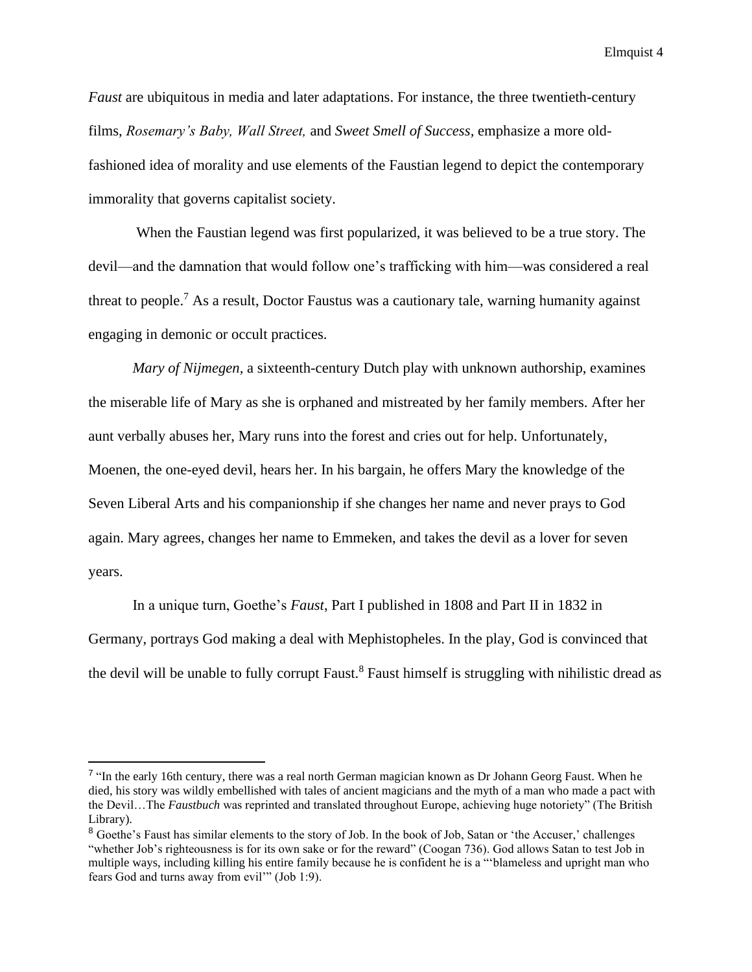*Faust* are ubiquitous in media and later adaptations. For instance, the three twentieth-century films, *Rosemary's Baby, Wall Street,* and *Sweet Smell of Success,* emphasize a more oldfashioned idea of morality and use elements of the Faustian legend to depict the contemporary immorality that governs capitalist society.

When the Faustian legend was first popularized, it was believed to be a true story. The devil—and the damnation that would follow one's trafficking with him—was considered a real threat to people.<sup>7</sup> As a result, Doctor Faustus was a cautionary tale, warning humanity against engaging in demonic or occult practices.

*Mary of Nijmegen,* a sixteenth-century Dutch play with unknown authorship, examines the miserable life of Mary as she is orphaned and mistreated by her family members. After her aunt verbally abuses her, Mary runs into the forest and cries out for help. Unfortunately, Moenen, the one-eyed devil, hears her. In his bargain, he offers Mary the knowledge of the Seven Liberal Arts and his companionship if she changes her name and never prays to God again. Mary agrees, changes her name to Emmeken, and takes the devil as a lover for seven years.

In a unique turn, Goethe's *Faust*, Part I published in 1808 and Part II in 1832 in Germany, portrays God making a deal with Mephistopheles. In the play, God is convinced that the devil will be unable to fully corrupt Faust.<sup>8</sup> Faust himself is struggling with nihilistic dread as

<sup>&</sup>lt;sup>7</sup> "In the early 16th century, there was a real north German magician known as Dr Johann Georg Faust. When he died, his story was wildly embellished with tales of ancient magicians and the myth of a man who made a pact with the Devil…The *Faustbuch* was reprinted and translated throughout Europe, achieving huge notoriety" (The British Library).

<sup>&</sup>lt;sup>8</sup> Goethe's Faust has similar elements to the story of Job. In the book of Job, Satan or 'the Accuser,' challenges "whether Job's righteousness is for its own sake or for the reward" (Coogan 736). God allows Satan to test Job in multiple ways, including killing his entire family because he is confident he is a "'blameless and upright man who fears God and turns away from evil'" (Job 1:9).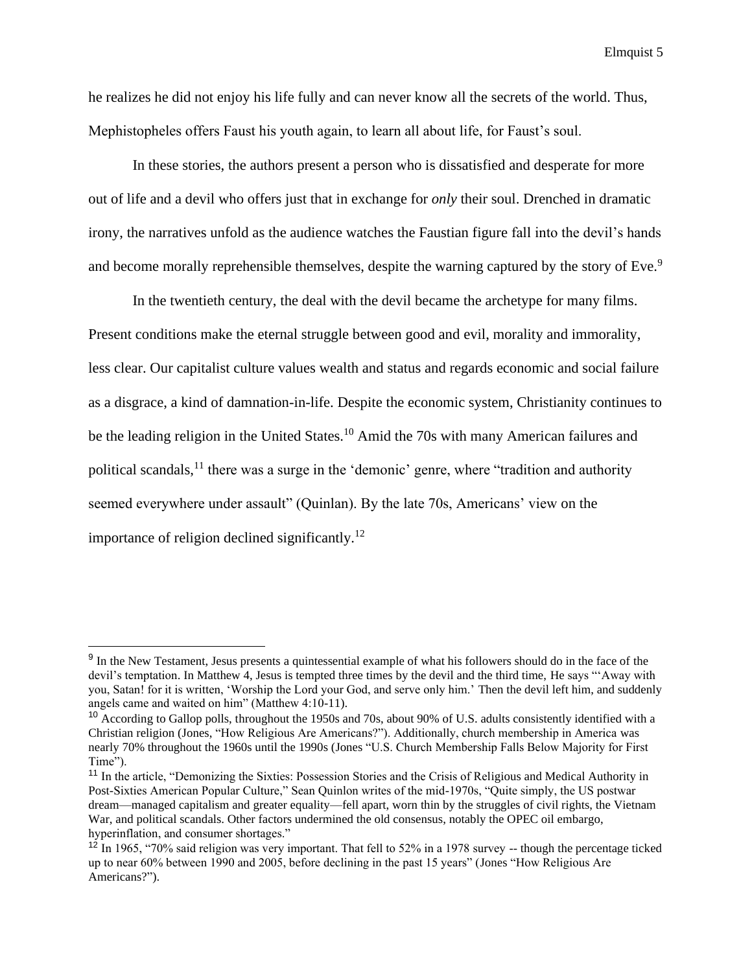he realizes he did not enjoy his life fully and can never know all the secrets of the world. Thus, Mephistopheles offers Faust his youth again, to learn all about life, for Faust's soul.

In these stories, the authors present a person who is dissatisfied and desperate for more out of life and a devil who offers just that in exchange for *only* their soul. Drenched in dramatic irony, the narratives unfold as the audience watches the Faustian figure fall into the devil's hands and become morally reprehensible themselves, despite the warning captured by the story of Eve.<sup>9</sup>

In the twentieth century, the deal with the devil became the archetype for many films. Present conditions make the eternal struggle between good and evil, morality and immorality, less clear. Our capitalist culture values wealth and status and regards economic and social failure as a disgrace, a kind of damnation-in-life. Despite the economic system, Christianity continues to be the leading religion in the United States.<sup>10</sup> Amid the 70s with many American failures and political scandals,  $^{11}$  there was a surge in the 'demonic' genre, where "tradition and authority seemed everywhere under assault" (Quinlan). By the late 70s, Americans' view on the importance of religion declined significantly.<sup>12</sup>

<sup>&</sup>lt;sup>9</sup> In the New Testament, Jesus presents a quintessential example of what his followers should do in the face of the devil's temptation. In Matthew 4, Jesus is tempted three times by the devil and the third time, He says "'Away with you, Satan! for it is written, 'Worship the Lord your God, and serve only him.' Then the devil left him, and suddenly angels came and waited on him" (Matthew 4:10-11).

<sup>&</sup>lt;sup>10</sup> According to Gallop polls, throughout the 1950s and 70s, about 90% of U.S. adults consistently identified with a Christian religion (Jones, "How Religious Are Americans?"). Additionally, church membership in America was nearly 70% throughout the 1960s until the 1990s (Jones "U.S. Church Membership Falls Below Majority for First Time").

<sup>&</sup>lt;sup>11</sup> In the article, "Demonizing the Sixties: Possession Stories and the Crisis of Religious and Medical Authority in Post-Sixties American Popular Culture," Sean Quinlon writes of the mid-1970s, "Quite simply, the US postwar dream—managed capitalism and greater equality—fell apart, worn thin by the struggles of civil rights, the Vietnam War, and political scandals. Other factors undermined the old consensus, notably the OPEC oil embargo, hyperinflation, and consumer shortages."

 $12$  In 1965, "70% said religion was very important. That fell to 52% in a 1978 survey -- though the percentage ticked up to near 60% between 1990 and 2005, before declining in the past 15 years" (Jones "How Religious Are Americans?").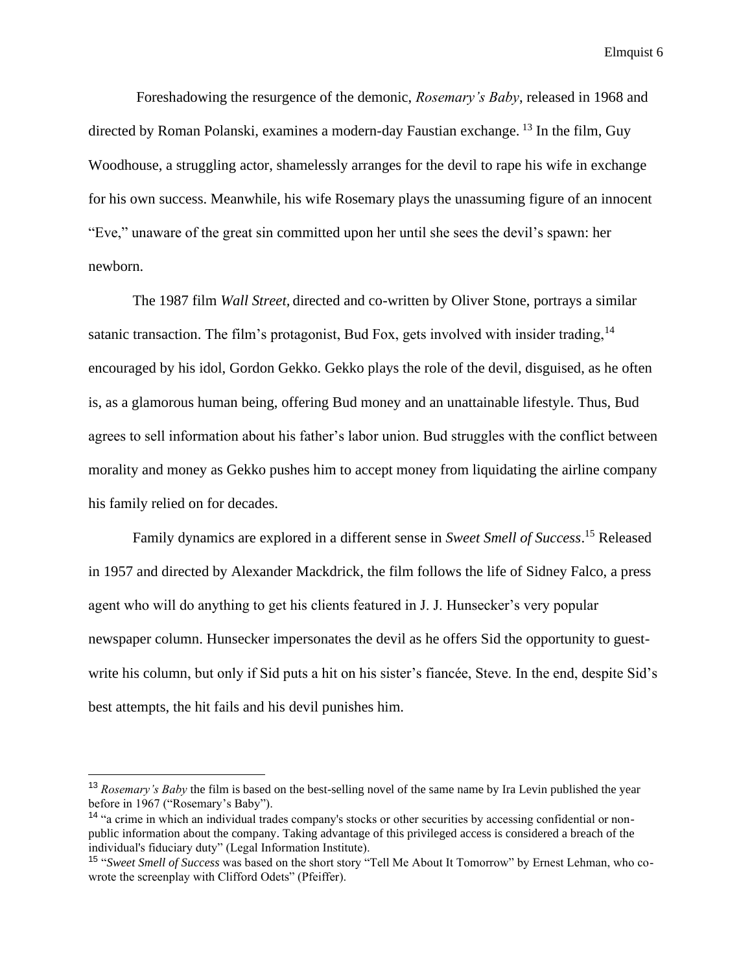Foreshadowing the resurgence of the demonic, *Rosemary's Baby*, released in 1968 and directed by Roman Polanski, examines a modern-day Faustian exchange.<sup>13</sup> In the film, Guy Woodhouse, a struggling actor, shamelessly arranges for the devil to rape his wife in exchange for his own success. Meanwhile, his wife Rosemary plays the unassuming figure of an innocent "Eve," unaware of the great sin committed upon her until she sees the devil's spawn: her newborn.

The 1987 film *Wall Street,* directed and co-written by Oliver Stone, portrays a similar satanic transaction. The film's protagonist, Bud Fox, gets involved with insider trading,  $14$ encouraged by his idol, Gordon Gekko. Gekko plays the role of the devil, disguised, as he often is, as a glamorous human being, offering Bud money and an unattainable lifestyle. Thus, Bud agrees to sell information about his father's labor union. Bud struggles with the conflict between morality and money as Gekko pushes him to accept money from liquidating the airline company his family relied on for decades.

Family dynamics are explored in a different sense in *Sweet Smell of Success*. <sup>15</sup> Released in 1957 and directed by Alexander Mackdrick, the film follows the life of Sidney Falco, a press agent who will do anything to get his clients featured in J. J. Hunsecker's very popular newspaper column. Hunsecker impersonates the devil as he offers Sid the opportunity to guestwrite his column, but only if Sid puts a hit on his sister's fiancée, Steve. In the end, despite Sid's best attempts, the hit fails and his devil punishes him.

<sup>13</sup> *Rosemary's Baby* the film is based on the best-selling novel of the same name by Ira Levin published the year before in 1967 ("Rosemary's Baby").

<sup>&</sup>lt;sup>14</sup> "a crime in which an individual trades company's stocks or other securities by accessing confidential or nonpublic information about the company. Taking advantage of this privileged access is considered a breach of the individual's fiduciary duty" (Legal Information Institute).

<sup>15</sup> "*Sweet Smell of Success* was based on the short story "Tell Me About It Tomorrow" by Ernest Lehman, who cowrote the screenplay with Clifford Odets" (Pfeiffer).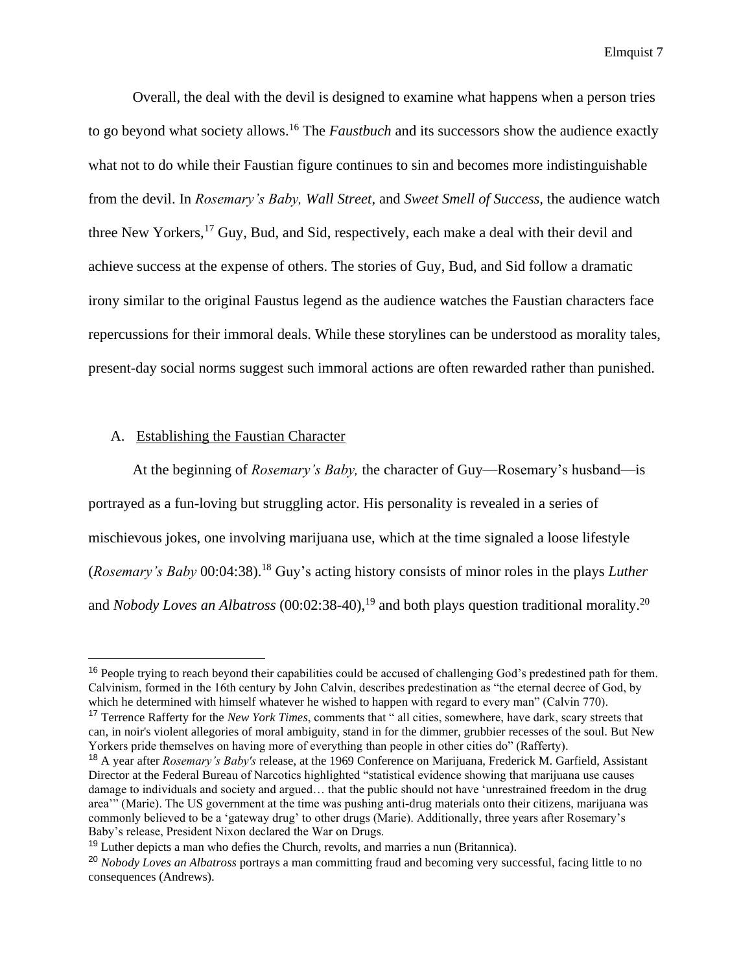Overall, the deal with the devil is designed to examine what happens when a person tries to go beyond what society allows.<sup>16</sup> The *Faustbuch* and its successors show the audience exactly what not to do while their Faustian figure continues to sin and becomes more indistinguishable from the devil. In *Rosemary's Baby, Wall Street*, and *Sweet Smell of Success,* the audience watch three New Yorkers,  $^{17}$  Guy, Bud, and Sid, respectively, each make a deal with their devil and achieve success at the expense of others. The stories of Guy, Bud, and Sid follow a dramatic irony similar to the original Faustus legend as the audience watches the Faustian characters face repercussions for their immoral deals. While these storylines can be understood as morality tales, present-day social norms suggest such immoral actions are often rewarded rather than punished.

# A. Establishing the Faustian Character

At the beginning of *Rosemary's Baby,* the character of Guy—Rosemary's husband—is portrayed as a fun-loving but struggling actor. His personality is revealed in a series of mischievous jokes, one involving marijuana use, which at the time signaled a loose lifestyle (*Rosemary's Baby* 00:04:38).<sup>18</sup> Guy's acting history consists of minor roles in the plays *Luther*  and *Nobody Loves an Albatross* (00:02:38-40),<sup>19</sup> and both plays question traditional morality.<sup>20</sup>

<sup>&</sup>lt;sup>16</sup> People trying to reach beyond their capabilities could be accused of challenging God's predestined path for them. Calvinism, formed in the 16th century by John Calvin, describes predestination as "the eternal decree of God, by which he determined with himself whatever he wished to happen with regard to every man" (Calvin 770).

<sup>17</sup> Terrence Rafferty for the *New York Times*, comments that " all cities, somewhere, have dark, scary streets that can, in noir's violent allegories of moral ambiguity, stand in for the dimmer, grubbier recesses of the soul. But New Yorkers pride themselves on having more of everything than people in other cities do" (Rafferty).

<sup>18</sup> A year after *Rosemary's Baby's* release, at the 1969 Conference on Marijuana, Frederick M. Garfield, Assistant Director at the Federal Bureau of Narcotics highlighted "statistical evidence showing that marijuana use causes damage to individuals and society and argued… that the public should not have 'unrestrained freedom in the drug area'" (Marie). The US government at the time was pushing anti-drug materials onto their citizens, marijuana was commonly believed to be a 'gateway drug' to other drugs (Marie). Additionally, three years after Rosemary's Baby's release, President Nixon declared the War on Drugs.

 $19$  Luther depicts a man who defies the Church, revolts, and marries a nun (Britannica).

<sup>20</sup> *Nobody Loves an Albatross* portrays a man committing fraud and becoming very successful, facing little to no consequences (Andrews).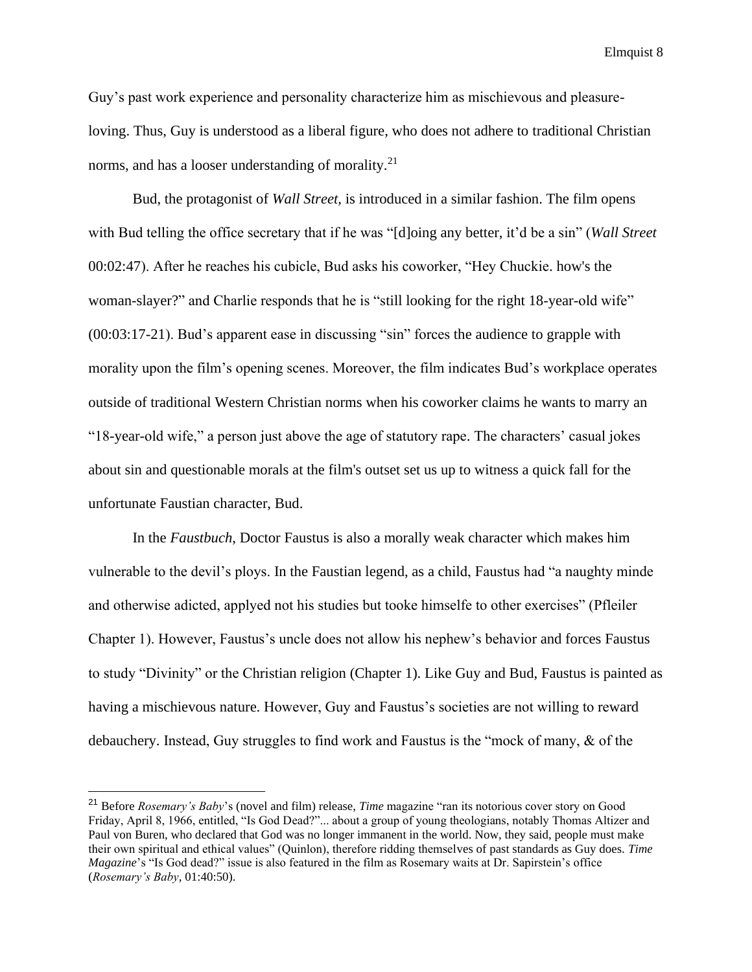Guy's past work experience and personality characterize him as mischievous and pleasureloving. Thus, Guy is understood as a liberal figure, who does not adhere to traditional Christian norms, and has a looser understanding of morality. $2<sup>1</sup>$ 

Bud, the protagonist of *Wall Street,* is introduced in a similar fashion. The film opens with Bud telling the office secretary that if he was "[d]oing any better, it'd be a sin" (*Wall Street* 00:02:47). After he reaches his cubicle, Bud asks his coworker, "Hey Chuckie. how's the woman-slayer?" and Charlie responds that he is "still looking for the right 18-year-old wife" (00:03:17-21). Bud's apparent ease in discussing "sin" forces the audience to grapple with morality upon the film's opening scenes. Moreover, the film indicates Bud's workplace operates outside of traditional Western Christian norms when his coworker claims he wants to marry an "18-year-old wife," a person just above the age of statutory rape. The characters' casual jokes about sin and questionable morals at the film's outset set us up to witness a quick fall for the unfortunate Faustian character, Bud.

In the *Faustbuch*, Doctor Faustus is also a morally weak character which makes him vulnerable to the devil's ploys. In the Faustian legend, as a child, Faustus had "a naughty minde and otherwise adicted, applyed not his studies but tooke himselfe to other exercises" (Pfleiler Chapter 1). However, Faustus's uncle does not allow his nephew's behavior and forces Faustus to study "Divinity" or the Christian religion (Chapter 1). Like Guy and Bud, Faustus is painted as having a mischievous nature. However, Guy and Faustus's societies are not willing to reward debauchery. Instead, Guy struggles to find work and Faustus is the "mock of many, & of the

<sup>21</sup> Before *Rosemary's Baby*'s (novel and film) release, *Time* magazine "ran its notorious cover story on Good Friday, April 8, 1966, entitled, "Is God Dead?"... about a group of young theologians, notably Thomas Altizer and Paul von Buren, who declared that God was no longer immanent in the world. Now, they said, people must make their own spiritual and ethical values" (Quinlon), therefore ridding themselves of past standards as Guy does. *Time Magazine*'s "Is God dead?" issue is also featured in the film as Rosemary waits at Dr. Sapirstein's office (*Rosemary's Baby*, 01:40:50).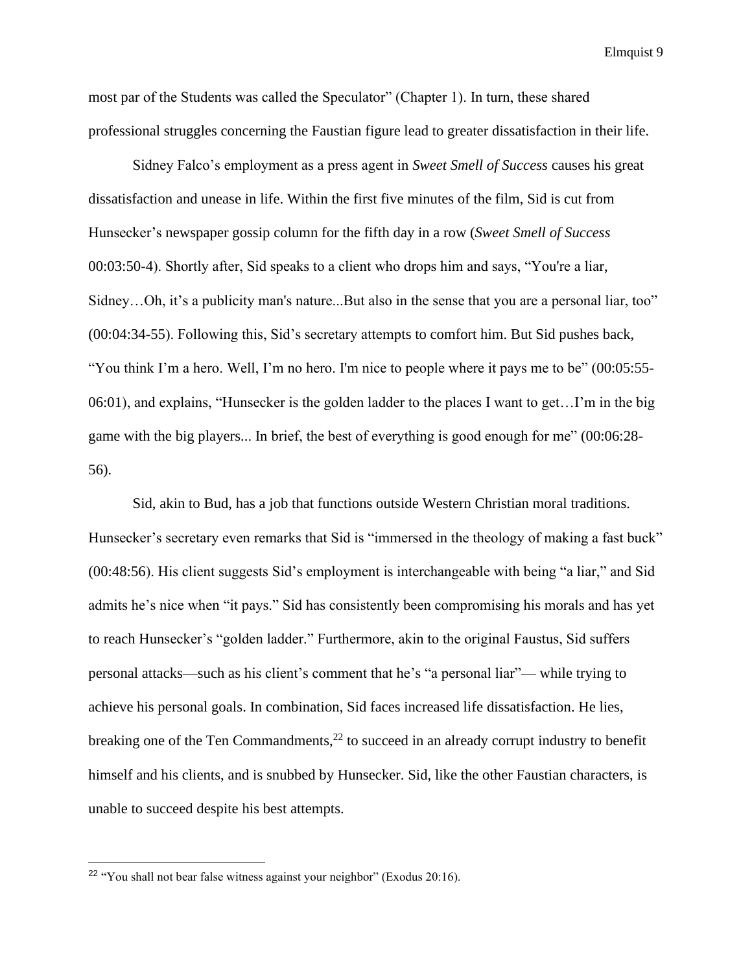most par of the Students was called the Speculator" (Chapter 1). In turn, these shared professional struggles concerning the Faustian figure lead to greater dissatisfaction in their life.

Sidney Falco's employment as a press agent in *Sweet Smell of Success* causes his great dissatisfaction and unease in life. Within the first five minutes of the film, Sid is cut from Hunsecker's newspaper gossip column for the fifth day in a row (*Sweet Smell of Success*  00:03:50-4). Shortly after, Sid speaks to a client who drops him and says, "You're a liar, Sidney…Oh, it's a publicity man's nature...But also in the sense that you are a personal liar, too" (00:04:34-55). Following this, Sid's secretary attempts to comfort him. But Sid pushes back, "You think I'm a hero. Well, I'm no hero. I'm nice to people where it pays me to be" (00:05:55- 06:01), and explains, "Hunsecker is the golden ladder to the places I want to get…I'm in the big game with the big players... In brief, the best of everything is good enough for me" (00:06:28- 56).

Sid, akin to Bud, has a job that functions outside Western Christian moral traditions. Hunsecker's secretary even remarks that Sid is "immersed in the theology of making a fast buck" (00:48:56). His client suggests Sid's employment is interchangeable with being "a liar," and Sid admits he's nice when "it pays." Sid has consistently been compromising his morals and has yet to reach Hunsecker's "golden ladder." Furthermore, akin to the original Faustus, Sid suffers personal attacks—such as his client's comment that he's "a personal liar"— while trying to achieve his personal goals. In combination, Sid faces increased life dissatisfaction. He lies, breaking one of the Ten Commandments,<sup>22</sup> to succeed in an already corrupt industry to benefit himself and his clients, and is snubbed by Hunsecker. Sid, like the other Faustian characters, is unable to succeed despite his best attempts.

<sup>22</sup> "You shall not bear false witness against your neighbor" (Exodus 20:16).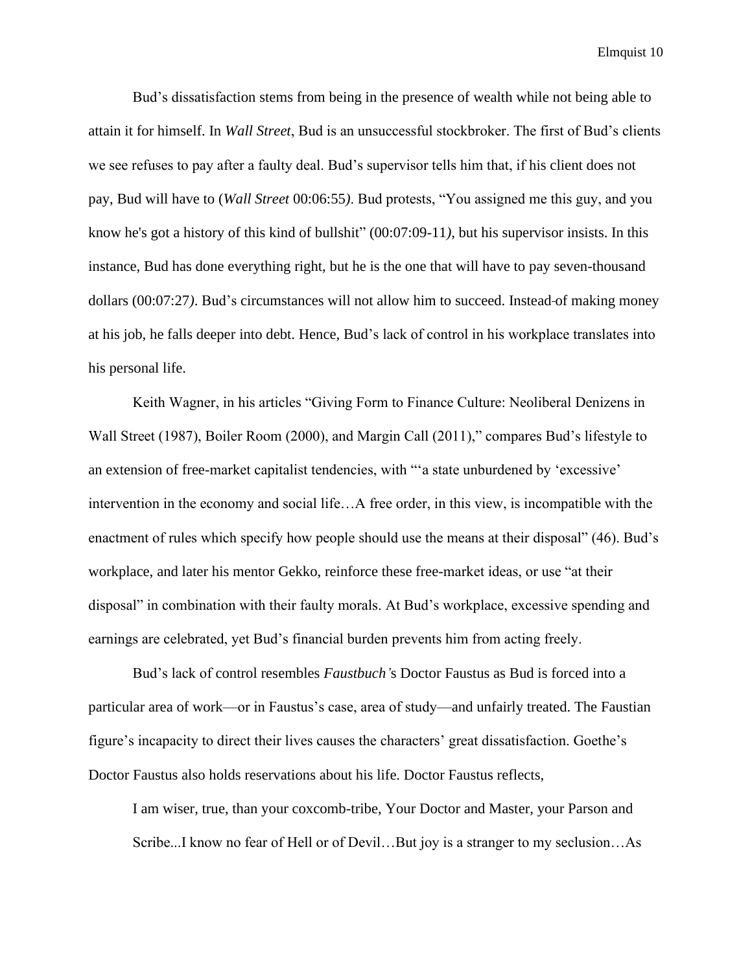Bud's dissatisfaction stems from being in the presence of wealth while not being able to attain it for himself. In *Wall Street*, Bud is an unsuccessful stockbroker. The first of Bud's clients we see refuses to pay after a faulty deal. Bud's supervisor tells him that, if his client does not pay, Bud will have to (*Wall Street* 00:06:55*)*. Bud protests, "You assigned me this guy, and you know he's got a history of this kind of bullshit" (00:07:09-11*),* but his supervisor insists. In this instance, Bud has done everything right, but he is the one that will have to pay seven-thousand dollars (00:07:27*)*. Bud's circumstances will not allow him to succeed. Instead of making money at his job, he falls deeper into debt. Hence, Bud's lack of control in his workplace translates into his personal life.

Keith Wagner, in his articles "Giving Form to Finance Culture: Neoliberal Denizens in Wall Street (1987), Boiler Room (2000), and Margin Call (2011)," compares Bud's lifestyle to an extension of free-market capitalist tendencies, with "'a state unburdened by 'excessive' intervention in the economy and social life…A free order, in this view, is incompatible with the enactment of rules which specify how people should use the means at their disposal" (46). Bud's workplace, and later his mentor Gekko, reinforce these free-market ideas, or use "at their disposal" in combination with their faulty morals. At Bud's workplace, excessive spending and earnings are celebrated, yet Bud's financial burden prevents him from acting freely.

Bud's lack of control resembles *Faustbuch'*s Doctor Faustus as Bud is forced into a particular area of work—or in Faustus's case, area of study—and unfairly treated. The Faustian figure's incapacity to direct their lives causes the characters' great dissatisfaction. Goethe's Doctor Faustus also holds reservations about his life. Doctor Faustus reflects,

I am wiser, true, than your coxcomb-tribe, Your Doctor and Master, your Parson and Scribe...I know no fear of Hell or of Devil…But joy is a stranger to my seclusion…As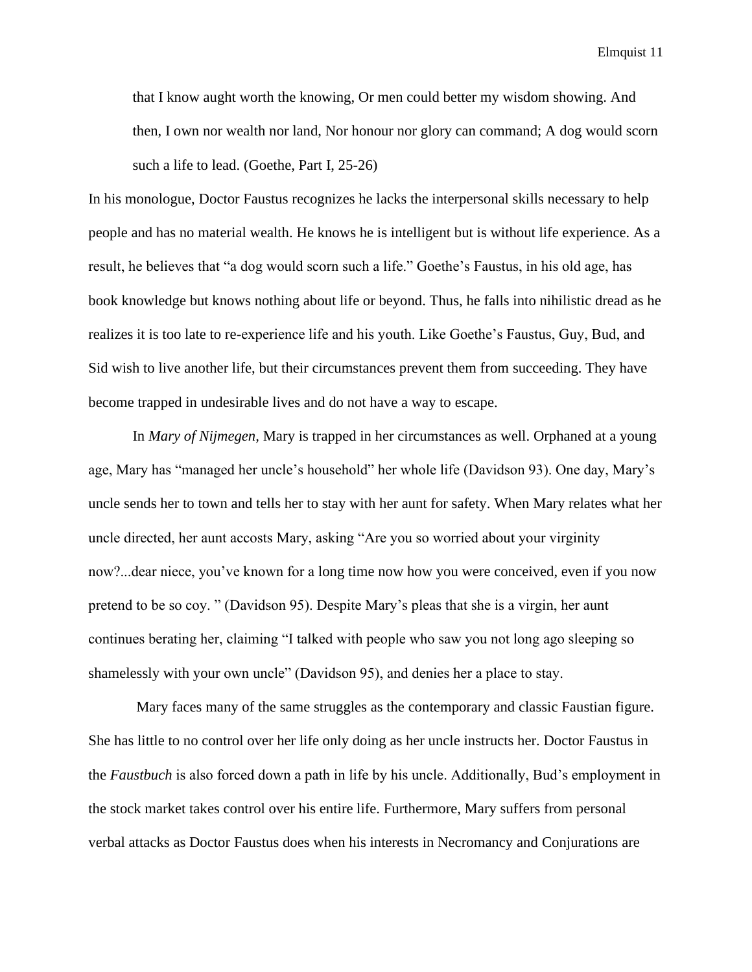that I know aught worth the knowing, Or men could better my wisdom showing. And then, I own nor wealth nor land, Nor honour nor glory can command; A dog would scorn such a life to lead. (Goethe, Part I, 25-26)

In his monologue, Doctor Faustus recognizes he lacks the interpersonal skills necessary to help people and has no material wealth. He knows he is intelligent but is without life experience. As a result, he believes that "a dog would scorn such a life." Goethe's Faustus, in his old age, has book knowledge but knows nothing about life or beyond. Thus, he falls into nihilistic dread as he realizes it is too late to re-experience life and his youth. Like Goethe's Faustus, Guy, Bud, and Sid wish to live another life, but their circumstances prevent them from succeeding. They have become trapped in undesirable lives and do not have a way to escape.

In *Mary of Nijmegen,* Mary is trapped in her circumstances as well. Orphaned at a young age, Mary has "managed her uncle's household" her whole life (Davidson 93). One day, Mary's uncle sends her to town and tells her to stay with her aunt for safety. When Mary relates what her uncle directed, her aunt accosts Mary, asking "Are you so worried about your virginity now?...dear niece, you've known for a long time now how you were conceived, even if you now pretend to be so coy. " (Davidson 95). Despite Mary's pleas that she is a virgin, her aunt continues berating her, claiming "I talked with people who saw you not long ago sleeping so shamelessly with your own uncle" (Davidson 95), and denies her a place to stay.

Mary faces many of the same struggles as the contemporary and classic Faustian figure. She has little to no control over her life only doing as her uncle instructs her. Doctor Faustus in the *Faustbuch* is also forced down a path in life by his uncle. Additionally, Bud's employment in the stock market takes control over his entire life. Furthermore, Mary suffers from personal verbal attacks as Doctor Faustus does when his interests in Necromancy and Conjurations are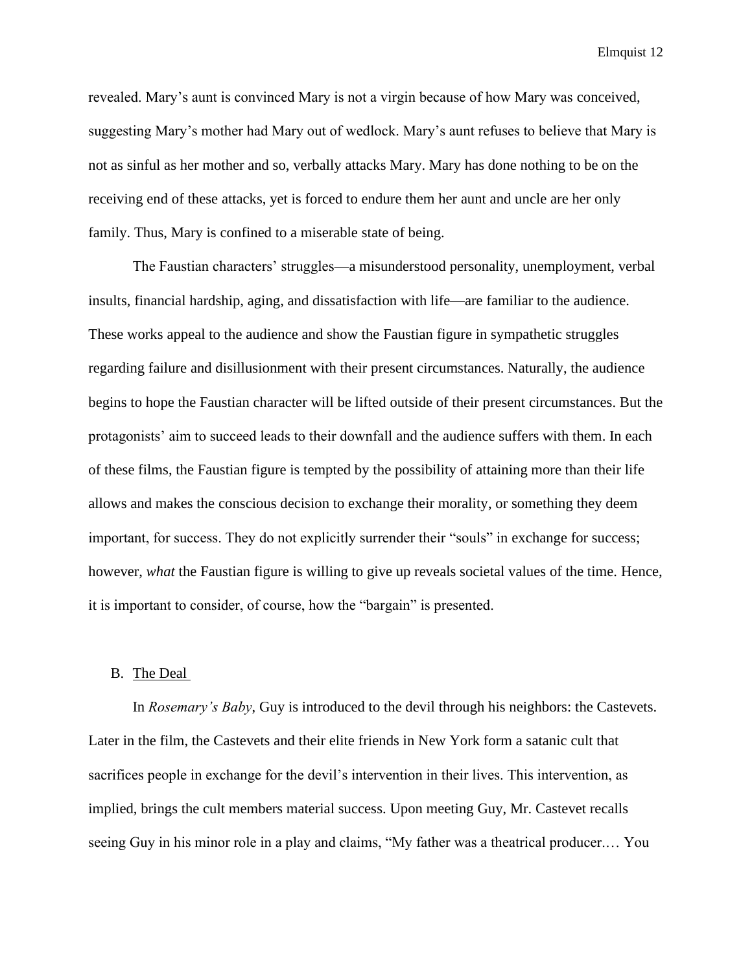revealed. Mary's aunt is convinced Mary is not a virgin because of how Mary was conceived, suggesting Mary's mother had Mary out of wedlock. Mary's aunt refuses to believe that Mary is not as sinful as her mother and so, verbally attacks Mary. Mary has done nothing to be on the receiving end of these attacks, yet is forced to endure them her aunt and uncle are her only family. Thus, Mary is confined to a miserable state of being.

The Faustian characters' struggles—a misunderstood personality, unemployment, verbal insults, financial hardship, aging, and dissatisfaction with life—are familiar to the audience. These works appeal to the audience and show the Faustian figure in sympathetic struggles regarding failure and disillusionment with their present circumstances. Naturally, the audience begins to hope the Faustian character will be lifted outside of their present circumstances. But the protagonists' aim to succeed leads to their downfall and the audience suffers with them. In each of these films, the Faustian figure is tempted by the possibility of attaining more than their life allows and makes the conscious decision to exchange their morality, or something they deem important, for success. They do not explicitly surrender their "souls" in exchange for success; however, *what* the Faustian figure is willing to give up reveals societal values of the time. Hence, it is important to consider, of course, how the "bargain" is presented.

# B. The Deal

In *Rosemary's Baby*, Guy is introduced to the devil through his neighbors: the Castevets. Later in the film, the Castevets and their elite friends in New York form a satanic cult that sacrifices people in exchange for the devil's intervention in their lives. This intervention, as implied, brings the cult members material success. Upon meeting Guy, Mr. Castevet recalls seeing Guy in his minor role in a play and claims, "My father was a theatrical producer.… You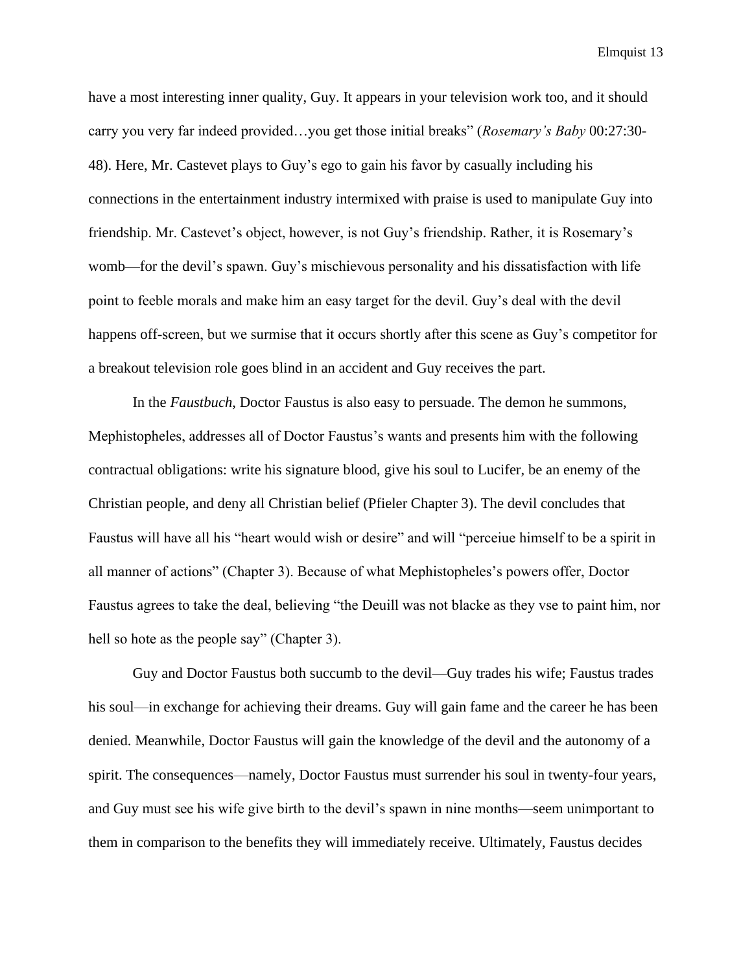have a most interesting inner quality, Guy. It appears in your television work too, and it should carry you very far indeed provided…you get those initial breaks" (*Rosemary's Baby* 00:27:30- 48). Here, Mr. Castevet plays to Guy's ego to gain his favor by casually including his connections in the entertainment industry intermixed with praise is used to manipulate Guy into friendship. Mr. Castevet's object, however, is not Guy's friendship. Rather, it is Rosemary's womb—for the devil's spawn. Guy's mischievous personality and his dissatisfaction with life point to feeble morals and make him an easy target for the devil. Guy's deal with the devil happens off-screen, but we surmise that it occurs shortly after this scene as Guy's competitor for a breakout television role goes blind in an accident and Guy receives the part.

In the *Faustbuch*, Doctor Faustus is also easy to persuade. The demon he summons, Mephistopheles, addresses all of Doctor Faustus's wants and presents him with the following contractual obligations: write his signature blood, give his soul to Lucifer, be an enemy of the Christian people, and deny all Christian belief (Pfieler Chapter 3). The devil concludes that Faustus will have all his "heart would wish or desire" and will "perceiue himself to be a spirit in all manner of actions" (Chapter 3). Because of what Mephistopheles's powers offer, Doctor Faustus agrees to take the deal, believing "the Deuill was not blacke as they vse to paint him, nor hell so hote as the people say" (Chapter 3).

Guy and Doctor Faustus both succumb to the devil—Guy trades his wife; Faustus trades his soul—in exchange for achieving their dreams. Guy will gain fame and the career he has been denied. Meanwhile, Doctor Faustus will gain the knowledge of the devil and the autonomy of a spirit. The consequences—namely, Doctor Faustus must surrender his soul in twenty-four years, and Guy must see his wife give birth to the devil's spawn in nine months—seem unimportant to them in comparison to the benefits they will immediately receive. Ultimately, Faustus decides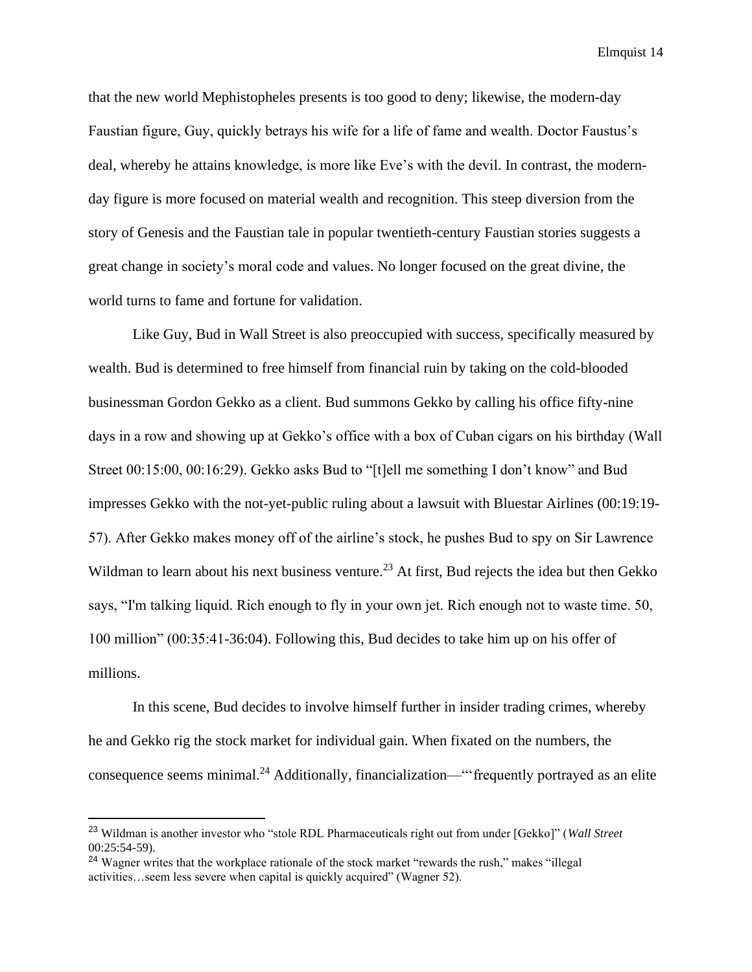that the new world Mephistopheles presents is too good to deny; likewise, the modern-day Faustian figure, Guy, quickly betrays his wife for a life of fame and wealth. Doctor Faustus's deal, whereby he attains knowledge, is more like Eve's with the devil. In contrast, the modernday figure is more focused on material wealth and recognition. This steep diversion from the story of Genesis and the Faustian tale in popular twentieth-century Faustian stories suggests a great change in society's moral code and values. No longer focused on the great divine, the world turns to fame and fortune for validation.

Like Guy, Bud in Wall Street is also preoccupied with success, specifically measured by wealth. Bud is determined to free himself from financial ruin by taking on the cold-blooded businessman Gordon Gekko as a client. Bud summons Gekko by calling his office fifty-nine days in a row and showing up at Gekko's office with a box of Cuban cigars on his birthday (Wall Street 00:15:00, 00:16:29). Gekko asks Bud to "[t]ell me something I don't know" and Bud impresses Gekko with the not-yet-public ruling about a lawsuit with Bluestar Airlines (00:19:19- 57). After Gekko makes money off of the airline's stock, he pushes Bud to spy on Sir Lawrence Wildman to learn about his next business venture.<sup>23</sup> At first, Bud rejects the idea but then Gekko says, "I'm talking liquid. Rich enough to fly in your own jet. Rich enough not to waste time. 50, 100 million" (00:35:41-36:04). Following this, Bud decides to take him up on his offer of millions.

In this scene, Bud decides to involve himself further in insider trading crimes, whereby he and Gekko rig the stock market for individual gain. When fixated on the numbers, the consequence seems minimal.<sup>24</sup> Additionally, financialization—"frequently portrayed as an elite

<sup>23</sup> Wildman is another investor who "stole RDL Pharmaceuticals right out from under [Gekko]" (*Wall Street* 00:25:54-59).

<sup>&</sup>lt;sup>24</sup> Wagner writes that the workplace rationale of the stock market "rewards the rush," makes "illegal activities…seem less severe when capital is quickly acquired" (Wagner 52).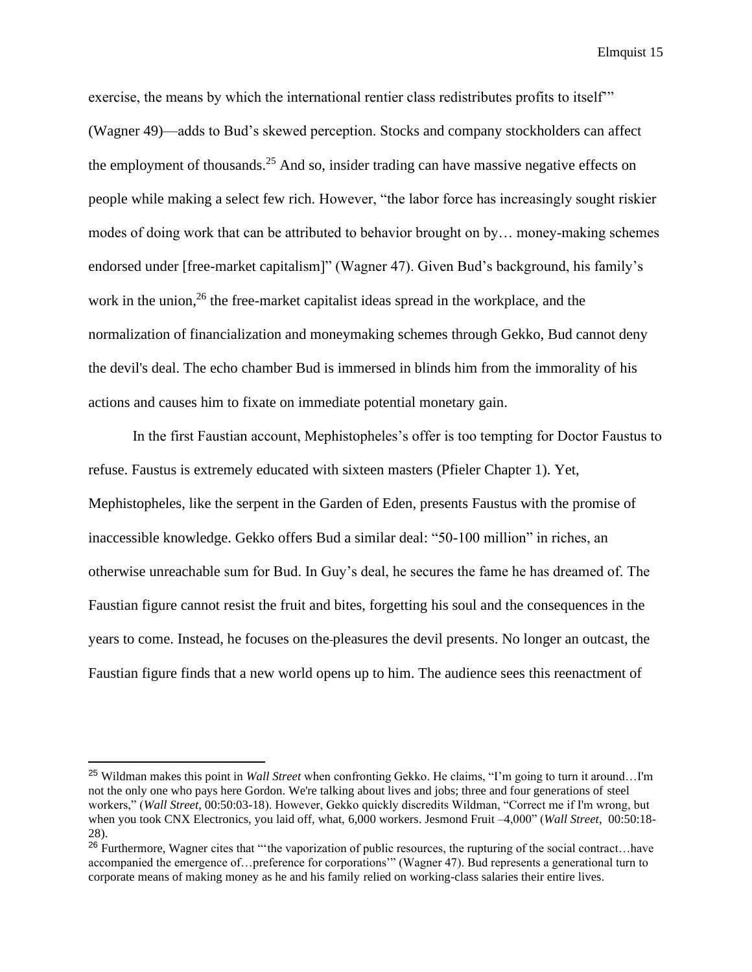exercise, the means by which the international rentier class redistributes profits to itself'" (Wagner 49)—adds to Bud's skewed perception. Stocks and company stockholders can affect the employment of thousands.<sup>25</sup> And so, insider trading can have massive negative effects on people while making a select few rich. However, "the labor force has increasingly sought riskier modes of doing work that can be attributed to behavior brought on by... money-making schemes endorsed under [free-market capitalism]" (Wagner 47). Given Bud's background, his family's work in the union,<sup>26</sup> the free-market capitalist ideas spread in the workplace, and the normalization of financialization and moneymaking schemes through Gekko, Bud cannot deny the devil's deal. The echo chamber Bud is immersed in blinds him from the immorality of his actions and causes him to fixate on immediate potential monetary gain.

In the first Faustian account, Mephistopheles's offer is too tempting for Doctor Faustus to refuse. Faustus is extremely educated with sixteen masters (Pfieler Chapter 1). Yet, Mephistopheles, like the serpent in the Garden of Eden, presents Faustus with the promise of inaccessible knowledge. Gekko offers Bud a similar deal: "50-100 million" in riches, an otherwise unreachable sum for Bud. In Guy's deal, he secures the fame he has dreamed of. The Faustian figure cannot resist the fruit and bites, forgetting his soul and the consequences in the years to come. Instead, he focuses on the pleasures the devil presents. No longer an outcast, the Faustian figure finds that a new world opens up to him. The audience sees this reenactment of

<sup>25</sup> Wildman makes this point in *Wall Street* when confronting Gekko. He claims, "I'm going to turn it around…I'm not the only one who pays here Gordon. We're talking about lives and jobs; three and four generations of steel workers," (*Wall Street*, 00:50:03-18). However, Gekko quickly discredits Wildman, "Correct me if I'm wrong, but when you took CNX Electronics, you laid off, what, 6,000 workers. Jesmond Fruit –4,000" (*Wall Street*, 00:50:18- 28).

<sup>&</sup>lt;sup>26</sup> Furthermore, Wagner cites that "'the vaporization of public resources, the rupturing of the social contract…have accompanied the emergence of…preference for corporations'" (Wagner 47). Bud represents a generational turn to corporate means of making money as he and his family relied on working-class salaries their entire lives.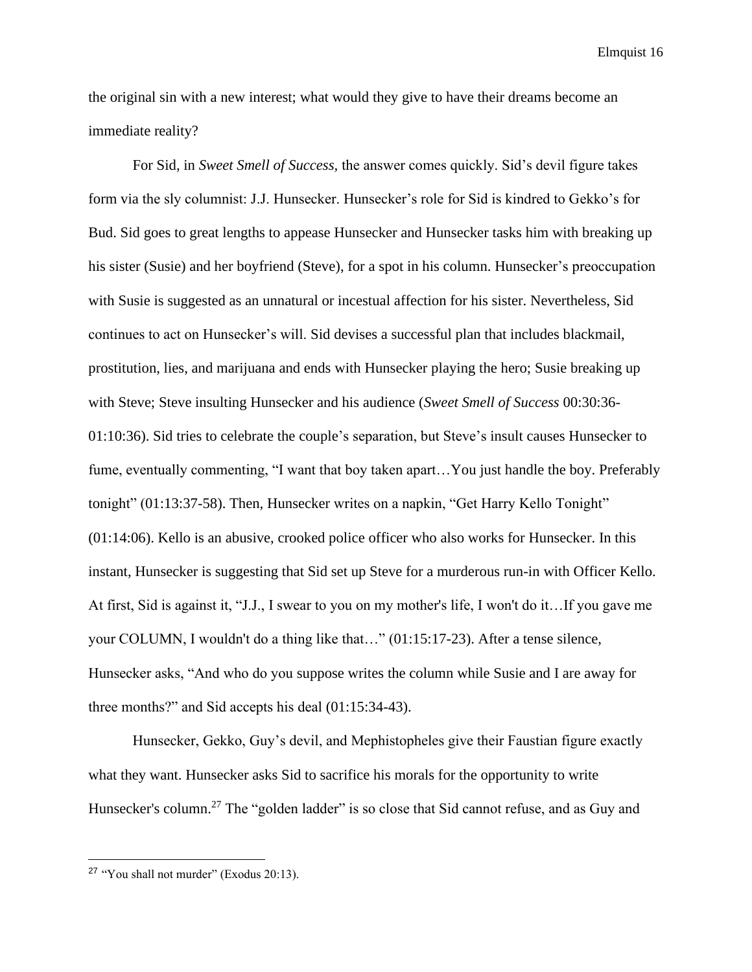the original sin with a new interest; what would they give to have their dreams become an immediate reality?

For Sid, in *Sweet Smell of Success,* the answer comes quickly. Sid's devil figure takes form via the sly columnist: J.J. Hunsecker. Hunsecker's role for Sid is kindred to Gekko's for Bud. Sid goes to great lengths to appease Hunsecker and Hunsecker tasks him with breaking up his sister (Susie) and her boyfriend (Steve), for a spot in his column. Hunsecker's preoccupation with Susie is suggested as an unnatural or incestual affection for his sister. Nevertheless, Sid continues to act on Hunsecker's will. Sid devises a successful plan that includes blackmail, prostitution, lies, and marijuana and ends with Hunsecker playing the hero; Susie breaking up with Steve; Steve insulting Hunsecker and his audience (*Sweet Smell of Success* 00:30:36- 01:10:36). Sid tries to celebrate the couple's separation, but Steve's insult causes Hunsecker to fume, eventually commenting, "I want that boy taken apart…You just handle the boy. Preferably tonight" (01:13:37-58). Then, Hunsecker writes on a napkin, "Get Harry Kello Tonight" (01:14:06). Kello is an abusive, crooked police officer who also works for Hunsecker. In this instant, Hunsecker is suggesting that Sid set up Steve for a murderous run-in with Officer Kello. At first, Sid is against it, "J.J., I swear to you on my mother's life, I won't do it…If you gave me your COLUMN, I wouldn't do a thing like that…" (01:15:17-23). After a tense silence, Hunsecker asks, "And who do you suppose writes the column while Susie and I are away for three months?" and Sid accepts his deal (01:15:34-43).

Hunsecker, Gekko, Guy's devil, and Mephistopheles give their Faustian figure exactly what they want. Hunsecker asks Sid to sacrifice his morals for the opportunity to write Hunsecker's column.<sup>27</sup> The "golden ladder" is so close that Sid cannot refuse, and as Guy and

<sup>27</sup> "You shall not murder" (Exodus 20:13).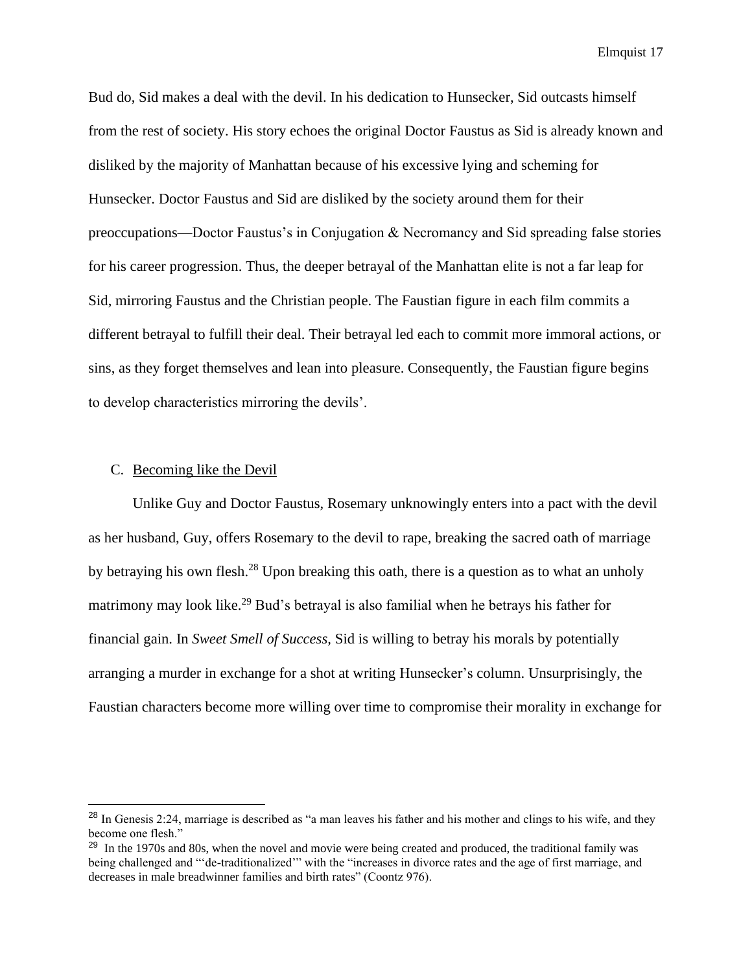Bud do, Sid makes a deal with the devil. In his dedication to Hunsecker, Sid outcasts himself from the rest of society. His story echoes the original Doctor Faustus as Sid is already known and disliked by the majority of Manhattan because of his excessive lying and scheming for Hunsecker. Doctor Faustus and Sid are disliked by the society around them for their preoccupations—Doctor Faustus's in Conjugation & Necromancy and Sid spreading false stories for his career progression. Thus, the deeper betrayal of the Manhattan elite is not a far leap for Sid, mirroring Faustus and the Christian people. The Faustian figure in each film commits a different betrayal to fulfill their deal. Their betrayal led each to commit more immoral actions, or sins, as they forget themselves and lean into pleasure. Consequently, the Faustian figure begins to develop characteristics mirroring the devils'.

## C. Becoming like the Devil

Unlike Guy and Doctor Faustus, Rosemary unknowingly enters into a pact with the devil as her husband, Guy, offers Rosemary to the devil to rape, breaking the sacred oath of marriage by betraying his own flesh.<sup>28</sup> Upon breaking this oath, there is a question as to what an unholy matrimony may look like.<sup>29</sup> Bud's betrayal is also familial when he betrays his father for financial gain. In *Sweet Smell of Success,* Sid is willing to betray his morals by potentially arranging a murder in exchange for a shot at writing Hunsecker's column. Unsurprisingly, the Faustian characters become more willing over time to compromise their morality in exchange for

<sup>&</sup>lt;sup>28</sup> In Genesis 2:24, marriage is described as "a man leaves his father and his mother and clings to his wife, and they become one flesh."

<sup>&</sup>lt;sup>29</sup> In the 1970s and 80s, when the novel and movie were being created and produced, the traditional family was being challenged and "'de-traditionalized'" with the "increases in divorce rates and the age of first marriage, and decreases in male breadwinner families and birth rates" (Coontz 976).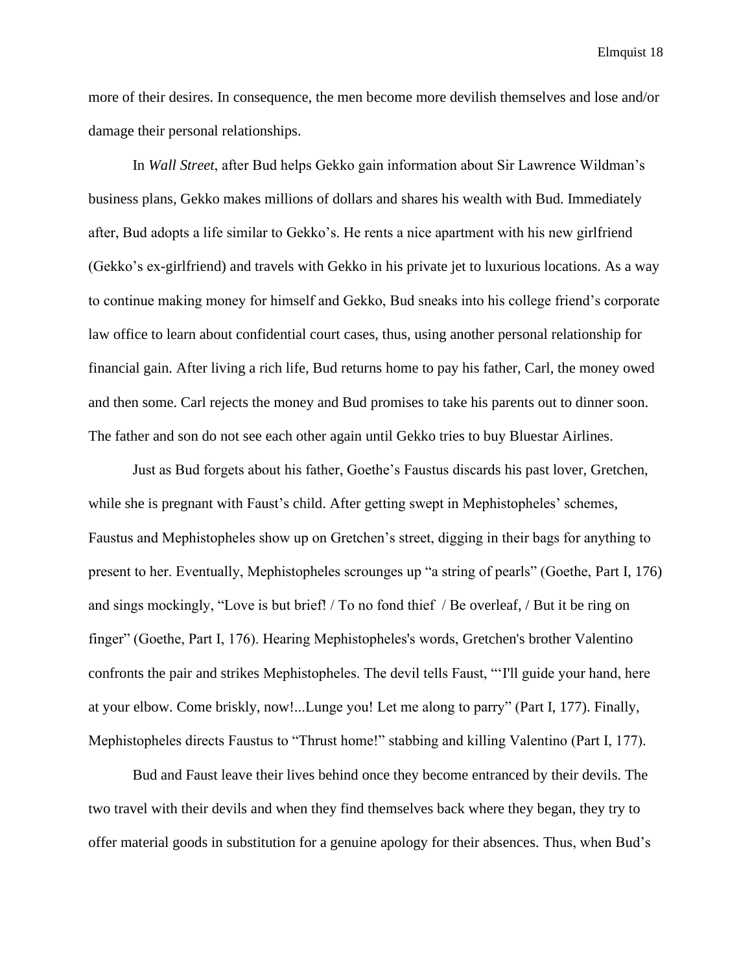more of their desires. In consequence, the men become more devilish themselves and lose and/or damage their personal relationships.

In *Wall Street*, after Bud helps Gekko gain information about Sir Lawrence Wildman's business plans, Gekko makes millions of dollars and shares his wealth with Bud. Immediately after, Bud adopts a life similar to Gekko's. He rents a nice apartment with his new girlfriend (Gekko's ex-girlfriend) and travels with Gekko in his private jet to luxurious locations. As a way to continue making money for himself and Gekko, Bud sneaks into his college friend's corporate law office to learn about confidential court cases, thus, using another personal relationship for financial gain. After living a rich life, Bud returns home to pay his father, Carl, the money owed and then some. Carl rejects the money and Bud promises to take his parents out to dinner soon. The father and son do not see each other again until Gekko tries to buy Bluestar Airlines.

Just as Bud forgets about his father, Goethe's Faustus discards his past lover, Gretchen, while she is pregnant with Faust's child. After getting swept in Mephistopheles' schemes, Faustus and Mephistopheles show up on Gretchen's street, digging in their bags for anything to present to her. Eventually, Mephistopheles scrounges up "a string of pearls" (Goethe, Part I, 176) and sings mockingly, "Love is but brief! / To no fond thief / Be overleaf, / But it be ring on finger" (Goethe, Part I, 176). Hearing Mephistopheles's words, Gretchen's brother Valentino confronts the pair and strikes Mephistopheles. The devil tells Faust, "'I'll guide your hand, here at your elbow. Come briskly, now!...Lunge you! Let me along to parry" (Part I, 177). Finally, Mephistopheles directs Faustus to "Thrust home!" stabbing and killing Valentino (Part I, 177).

Bud and Faust leave their lives behind once they become entranced by their devils. The two travel with their devils and when they find themselves back where they began, they try to offer material goods in substitution for a genuine apology for their absences. Thus, when Bud's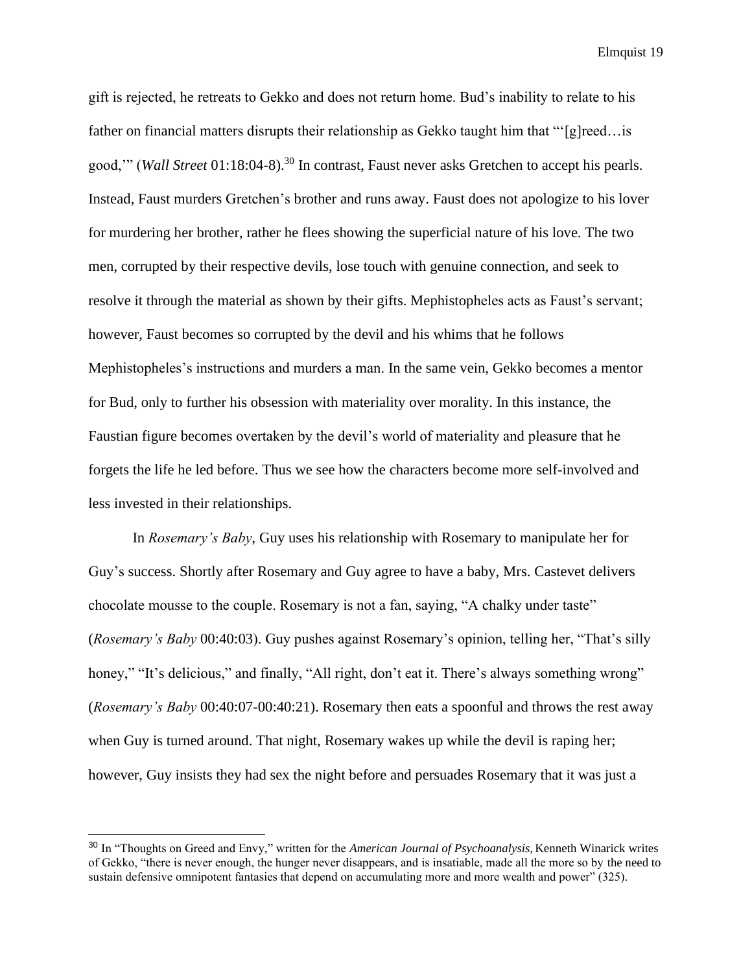gift is rejected, he retreats to Gekko and does not return home. Bud's inability to relate to his father on financial matters disrupts their relationship as Gekko taught him that "'[g]reed... is good,'" (*Wall Street* 01:18:04-8).<sup>30</sup> In contrast, Faust never asks Gretchen to accept his pearls. Instead, Faust murders Gretchen's brother and runs away. Faust does not apologize to his lover for murdering her brother, rather he flees showing the superficial nature of his love. The two men, corrupted by their respective devils, lose touch with genuine connection, and seek to resolve it through the material as shown by their gifts. Mephistopheles acts as Faust's servant; however, Faust becomes so corrupted by the devil and his whims that he follows Mephistopheles's instructions and murders a man. In the same vein, Gekko becomes a mentor for Bud, only to further his obsession with materiality over morality. In this instance, the Faustian figure becomes overtaken by the devil's world of materiality and pleasure that he forgets the life he led before. Thus we see how the characters become more self-involved and less invested in their relationships.

In *Rosemary's Baby*, Guy uses his relationship with Rosemary to manipulate her for Guy's success. Shortly after Rosemary and Guy agree to have a baby, Mrs. Castevet delivers chocolate mousse to the couple. Rosemary is not a fan, saying, "A chalky under taste" (*Rosemary's Baby* 00:40:03). Guy pushes against Rosemary's opinion, telling her, "That's silly honey," "It's delicious," and finally, "All right, don't eat it. There's always something wrong" (*Rosemary's Baby* 00:40:07-00:40:21). Rosemary then eats a spoonful and throws the rest away when Guy is turned around. That night, Rosemary wakes up while the devil is raping her; however, Guy insists they had sex the night before and persuades Rosemary that it was just a

<sup>30</sup> In "Thoughts on Greed and Envy," written for the *American Journal of Psychoanalysis,* Kenneth Winarick writes of Gekko, "there is never enough, the hunger never disappears, and is insatiable, made all the more so by the need to sustain defensive omnipotent fantasies that depend on accumulating more and more wealth and power" (325).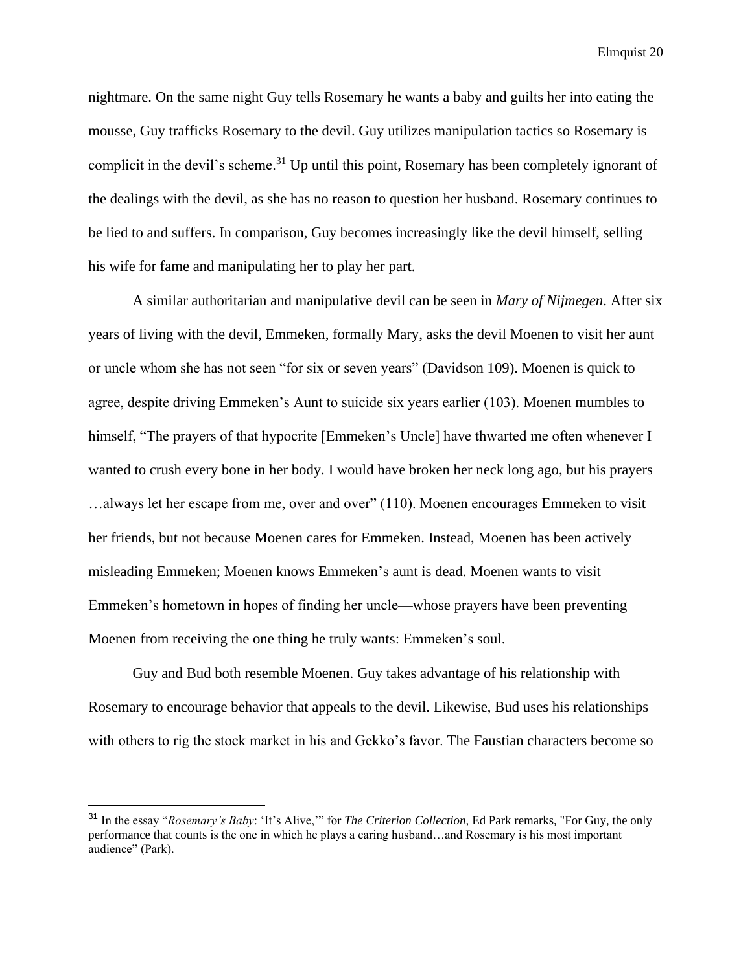nightmare. On the same night Guy tells Rosemary he wants a baby and guilts her into eating the mousse, Guy trafficks Rosemary to the devil. Guy utilizes manipulation tactics so Rosemary is complicit in the devil's scheme.<sup>31</sup> Up until this point, Rosemary has been completely ignorant of the dealings with the devil, as she has no reason to question her husband. Rosemary continues to be lied to and suffers. In comparison, Guy becomes increasingly like the devil himself, selling his wife for fame and manipulating her to play her part.

A similar authoritarian and manipulative devil can be seen in *Mary of Nijmegen*. After six years of living with the devil, Emmeken, formally Mary, asks the devil Moenen to visit her aunt or uncle whom she has not seen "for six or seven years" (Davidson 109). Moenen is quick to agree, despite driving Emmeken's Aunt to suicide six years earlier (103). Moenen mumbles to himself, "The prayers of that hypocrite [Emmeken's Uncle] have thwarted me often whenever I wanted to crush every bone in her body. I would have broken her neck long ago, but his prayers …always let her escape from me, over and over" (110). Moenen encourages Emmeken to visit her friends, but not because Moenen cares for Emmeken. Instead, Moenen has been actively misleading Emmeken; Moenen knows Emmeken's aunt is dead. Moenen wants to visit Emmeken's hometown in hopes of finding her uncle—whose prayers have been preventing Moenen from receiving the one thing he truly wants: Emmeken's soul.

Guy and Bud both resemble Moenen. Guy takes advantage of his relationship with Rosemary to encourage behavior that appeals to the devil. Likewise, Bud uses his relationships with others to rig the stock market in his and Gekko's favor. The Faustian characters become so

<sup>31</sup> In the essay "*Rosemary's Baby*: 'It's Alive,'" for *The Criterion Collection,* Ed Park remarks, "For Guy, the only performance that counts is the one in which he plays a caring husband…and Rosemary is his most important audience" (Park).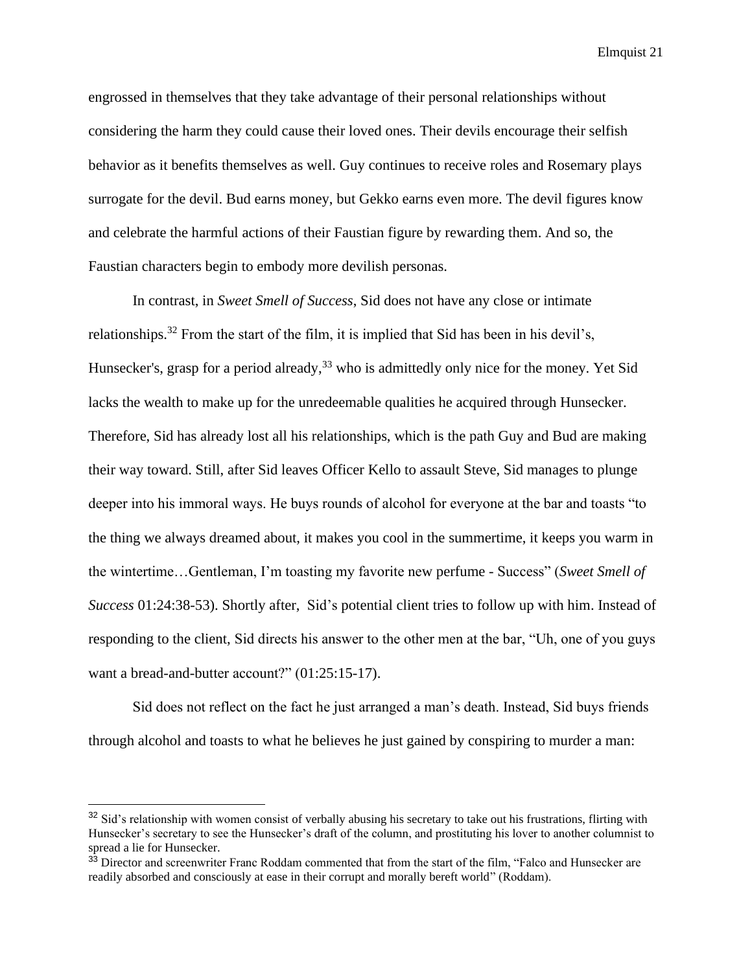engrossed in themselves that they take advantage of their personal relationships without considering the harm they could cause their loved ones. Their devils encourage their selfish behavior as it benefits themselves as well. Guy continues to receive roles and Rosemary plays surrogate for the devil. Bud earns money, but Gekko earns even more. The devil figures know and celebrate the harmful actions of their Faustian figure by rewarding them. And so, the Faustian characters begin to embody more devilish personas.

In contrast, in *Sweet Smell of Success*, Sid does not have any close or intimate relationships.<sup>32</sup> From the start of the film, it is implied that Sid has been in his devil's, Hunsecker's, grasp for a period already,<sup>33</sup> who is admittedly only nice for the money. Yet Sid lacks the wealth to make up for the unredeemable qualities he acquired through Hunsecker. Therefore, Sid has already lost all his relationships, which is the path Guy and Bud are making their way toward. Still, after Sid leaves Officer Kello to assault Steve, Sid manages to plunge deeper into his immoral ways. He buys rounds of alcohol for everyone at the bar and toasts "to the thing we always dreamed about, it makes you cool in the summertime, it keeps you warm in the wintertime…Gentleman, I'm toasting my favorite new perfume - Success" (*Sweet Smell of Success* 01:24:38-53). Shortly after, Sid's potential client tries to follow up with him. Instead of responding to the client, Sid directs his answer to the other men at the bar, "Uh, one of you guys want a bread-and-butter account?" (01:25:15-17).

Sid does not reflect on the fact he just arranged a man's death. Instead, Sid buys friends through alcohol and toasts to what he believes he just gained by conspiring to murder a man:

<sup>&</sup>lt;sup>32</sup> Sid's relationship with women consist of verbally abusing his secretary to take out his frustrations, flirting with Hunsecker's secretary to see the Hunsecker's draft of the column, and prostituting his lover to another columnist to spread a lie for Hunsecker.

<sup>&</sup>lt;sup>33</sup> Director and screenwriter Franc Roddam commented that from the start of the film, "Falco and Hunsecker are readily absorbed and consciously at ease in their corrupt and morally bereft world" (Roddam).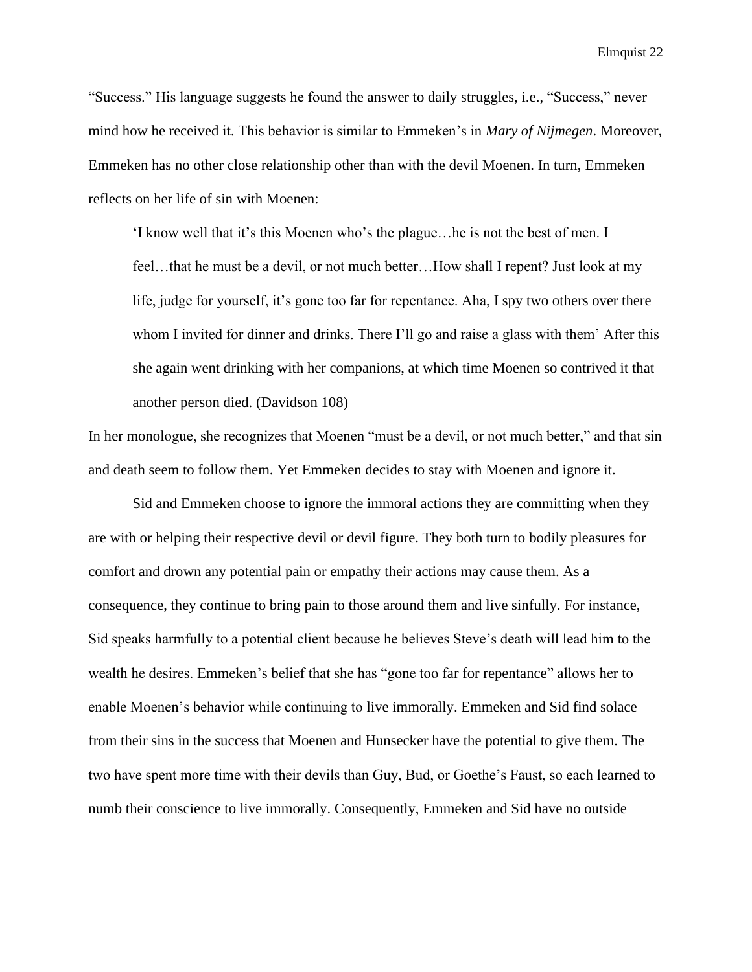"Success." His language suggests he found the answer to daily struggles, i.e., "Success," never mind how he received it. This behavior is similar to Emmeken's in *Mary of Nijmegen*. Moreover, Emmeken has no other close relationship other than with the devil Moenen. In turn, Emmeken reflects on her life of sin with Moenen:

'I know well that it's this Moenen who's the plague…he is not the best of men. I feel…that he must be a devil, or not much better…How shall I repent? Just look at my life, judge for yourself, it's gone too far for repentance. Aha, I spy two others over there whom I invited for dinner and drinks. There I'll go and raise a glass with them' After this she again went drinking with her companions, at which time Moenen so contrived it that another person died. (Davidson 108)

In her monologue, she recognizes that Moenen "must be a devil, or not much better," and that sin and death seem to follow them. Yet Emmeken decides to stay with Moenen and ignore it.

Sid and Emmeken choose to ignore the immoral actions they are committing when they are with or helping their respective devil or devil figure. They both turn to bodily pleasures for comfort and drown any potential pain or empathy their actions may cause them. As a consequence, they continue to bring pain to those around them and live sinfully. For instance, Sid speaks harmfully to a potential client because he believes Steve's death will lead him to the wealth he desires. Emmeken's belief that she has "gone too far for repentance" allows her to enable Moenen's behavior while continuing to live immorally. Emmeken and Sid find solace from their sins in the success that Moenen and Hunsecker have the potential to give them. The two have spent more time with their devils than Guy, Bud, or Goethe's Faust, so each learned to numb their conscience to live immorally. Consequently, Emmeken and Sid have no outside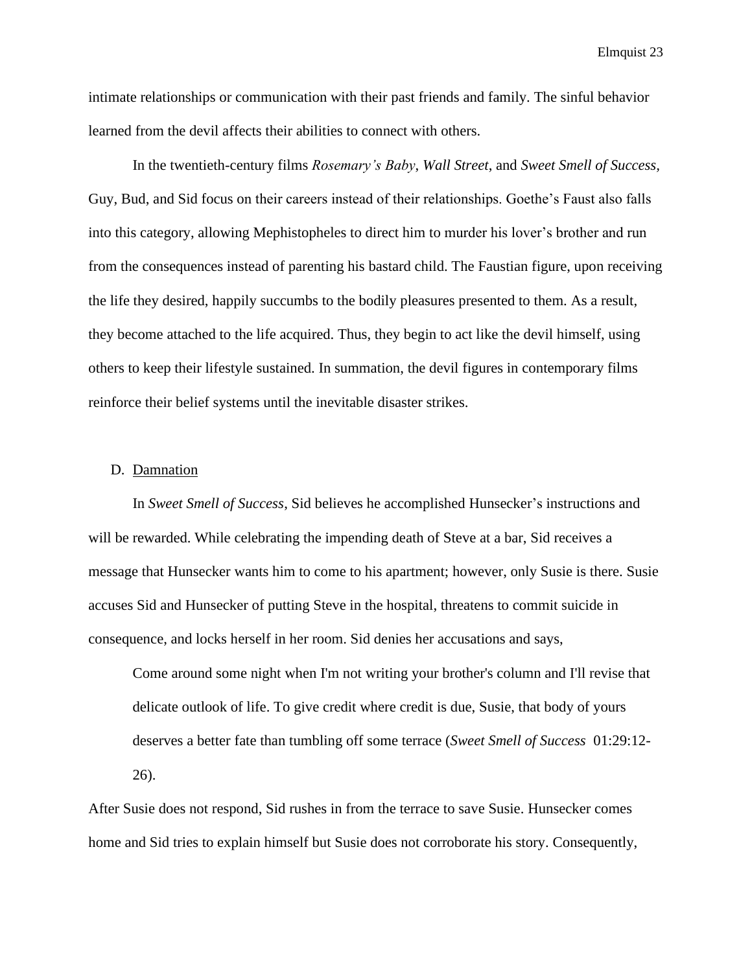intimate relationships or communication with their past friends and family. The sinful behavior learned from the devil affects their abilities to connect with others.

In the twentieth-century films *Rosemary's Baby*, *Wall Street*, and *Sweet Smell of Success,* Guy, Bud, and Sid focus on their careers instead of their relationships. Goethe's Faust also falls into this category, allowing Mephistopheles to direct him to murder his lover's brother and run from the consequences instead of parenting his bastard child. The Faustian figure, upon receiving the life they desired, happily succumbs to the bodily pleasures presented to them. As a result, they become attached to the life acquired. Thus, they begin to act like the devil himself, using others to keep their lifestyle sustained. In summation, the devil figures in contemporary films reinforce their belief systems until the inevitable disaster strikes.

## D. Damnation

In *Sweet Smell of Success*, Sid believes he accomplished Hunsecker's instructions and will be rewarded. While celebrating the impending death of Steve at a bar, Sid receives a message that Hunsecker wants him to come to his apartment; however, only Susie is there. Susie accuses Sid and Hunsecker of putting Steve in the hospital, threatens to commit suicide in consequence, and locks herself in her room. Sid denies her accusations and says,

Come around some night when I'm not writing your brother's column and I'll revise that delicate outlook of life. To give credit where credit is due, Susie, that body of yours deserves a better fate than tumbling off some terrace (*Sweet Smell of Success* 01:29:12- 26).

After Susie does not respond, Sid rushes in from the terrace to save Susie. Hunsecker comes home and Sid tries to explain himself but Susie does not corroborate his story. Consequently,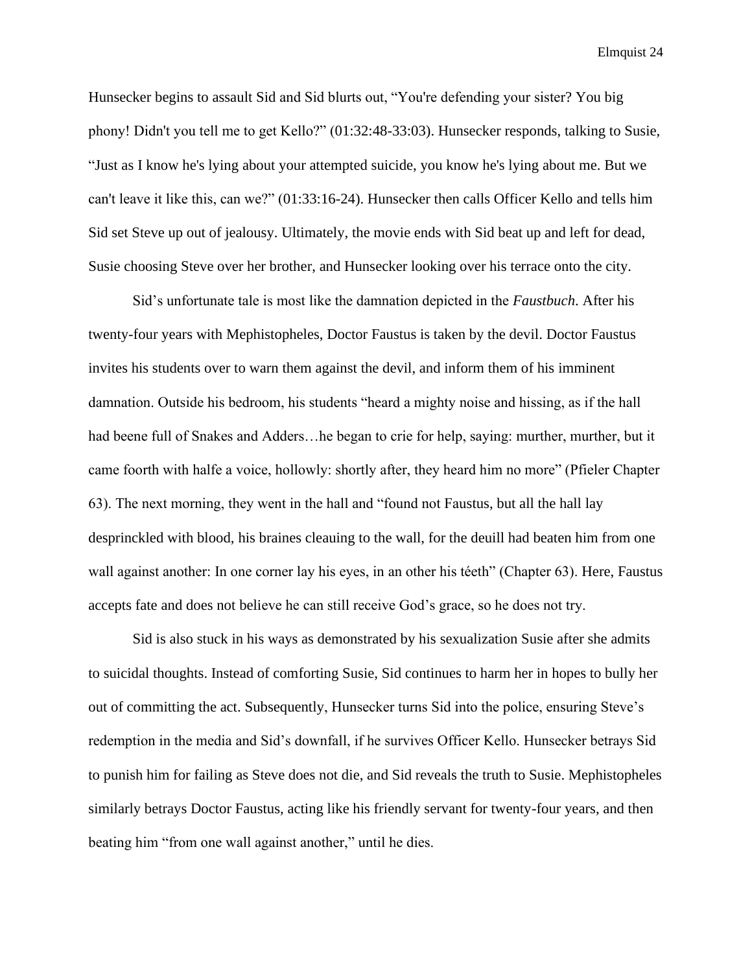Hunsecker begins to assault Sid and Sid blurts out, "You're defending your sister? You big phony! Didn't you tell me to get Kello?" (01:32:48-33:03). Hunsecker responds, talking to Susie, "Just as I know he's lying about your attempted suicide, you know he's lying about me. But we can't leave it like this, can we?" (01:33:16-24). Hunsecker then calls Officer Kello and tells him Sid set Steve up out of jealousy. Ultimately, the movie ends with Sid beat up and left for dead, Susie choosing Steve over her brother, and Hunsecker looking over his terrace onto the city.

Sid's unfortunate tale is most like the damnation depicted in the *Faustbuch*. After his twenty-four years with Mephistopheles, Doctor Faustus is taken by the devil. Doctor Faustus invites his students over to warn them against the devil, and inform them of his imminent damnation. Outside his bedroom, his students "heard a mighty noise and hissing, as if the hall had beene full of Snakes and Adders…he began to crie for help, saying: murther, murther, but it came foorth with halfe a voice, hollowly: shortly after, they heard him no more" (Pfieler Chapter 63). The next morning, they went in the hall and "found not Faustus, but all the hall lay desprinckled with blood, his braines cleauing to the wall, for the deuill had beaten him from one wall against another: In one corner lay his eyes, in an other his téeth" (Chapter 63). Here, Faustus accepts fate and does not believe he can still receive God's grace, so he does not try.

Sid is also stuck in his ways as demonstrated by his sexualization Susie after she admits to suicidal thoughts. Instead of comforting Susie, Sid continues to harm her in hopes to bully her out of committing the act. Subsequently, Hunsecker turns Sid into the police, ensuring Steve's redemption in the media and Sid's downfall, if he survives Officer Kello. Hunsecker betrays Sid to punish him for failing as Steve does not die, and Sid reveals the truth to Susie. Mephistopheles similarly betrays Doctor Faustus, acting like his friendly servant for twenty-four years, and then beating him "from one wall against another," until he dies.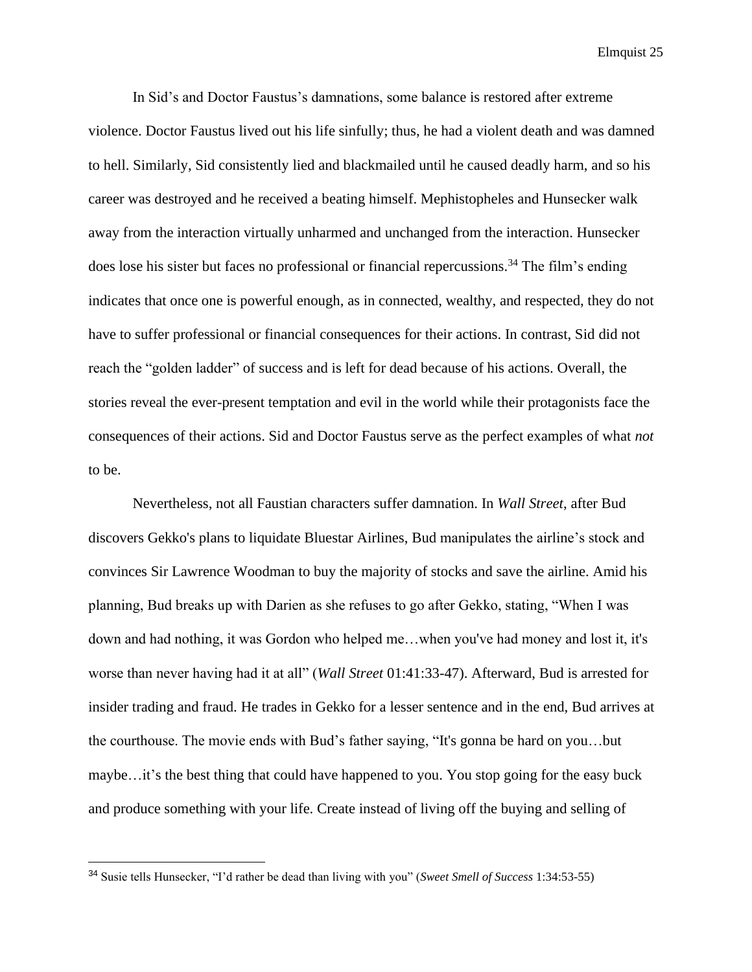In Sid's and Doctor Faustus's damnations, some balance is restored after extreme violence. Doctor Faustus lived out his life sinfully; thus, he had a violent death and was damned to hell. Similarly, Sid consistently lied and blackmailed until he caused deadly harm, and so his career was destroyed and he received a beating himself. Mephistopheles and Hunsecker walk away from the interaction virtually unharmed and unchanged from the interaction. Hunsecker does lose his sister but faces no professional or financial repercussions.<sup>34</sup> The film's ending indicates that once one is powerful enough, as in connected, wealthy, and respected, they do not have to suffer professional or financial consequences for their actions. In contrast, Sid did not reach the "golden ladder" of success and is left for dead because of his actions. Overall, the stories reveal the ever-present temptation and evil in the world while their protagonists face the consequences of their actions. Sid and Doctor Faustus serve as the perfect examples of what *not* to be.

Nevertheless, not all Faustian characters suffer damnation. In *Wall Street*, after Bud discovers Gekko's plans to liquidate Bluestar Airlines, Bud manipulates the airline's stock and convinces Sir Lawrence Woodman to buy the majority of stocks and save the airline. Amid his planning, Bud breaks up with Darien as she refuses to go after Gekko, stating, "When I was down and had nothing, it was Gordon who helped me…when you've had money and lost it, it's worse than never having had it at all" (*Wall Street* 01:41:33-47). Afterward, Bud is arrested for insider trading and fraud. He trades in Gekko for a lesser sentence and in the end, Bud arrives at the courthouse. The movie ends with Bud's father saying, "It's gonna be hard on you…but maybe…it's the best thing that could have happened to you. You stop going for the easy buck and produce something with your life. Create instead of living off the buying and selling of

<sup>34</sup> Susie tells Hunsecker, "I'd rather be dead than living with you" (*Sweet Smell of Success* 1:34:53-55)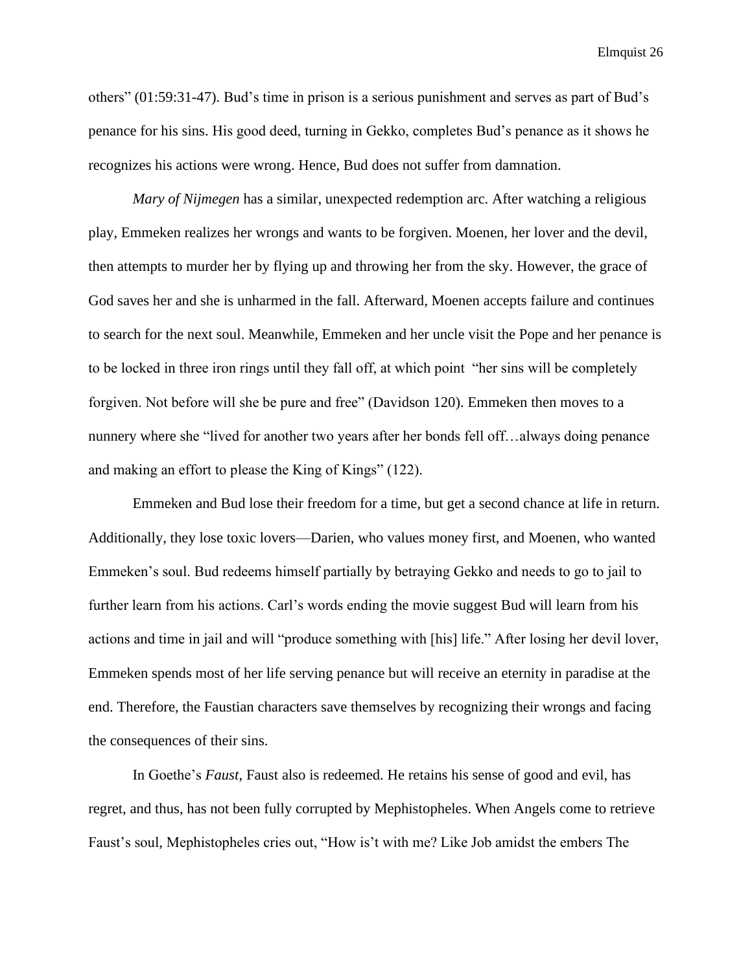others" (01:59:31-47). Bud's time in prison is a serious punishment and serves as part of Bud's penance for his sins. His good deed, turning in Gekko, completes Bud's penance as it shows he recognizes his actions were wrong. Hence, Bud does not suffer from damnation.

*Mary of Nijmegen* has a similar, unexpected redemption arc. After watching a religious play, Emmeken realizes her wrongs and wants to be forgiven. Moenen, her lover and the devil, then attempts to murder her by flying up and throwing her from the sky. However, the grace of God saves her and she is unharmed in the fall. Afterward, Moenen accepts failure and continues to search for the next soul. Meanwhile, Emmeken and her uncle visit the Pope and her penance is to be locked in three iron rings until they fall off, at which point "her sins will be completely forgiven. Not before will she be pure and free" (Davidson 120). Emmeken then moves to a nunnery where she "lived for another two years after her bonds fell off…always doing penance and making an effort to please the King of Kings" (122).

Emmeken and Bud lose their freedom for a time, but get a second chance at life in return. Additionally, they lose toxic lovers—Darien, who values money first, and Moenen, who wanted Emmeken's soul. Bud redeems himself partially by betraying Gekko and needs to go to jail to further learn from his actions. Carl's words ending the movie suggest Bud will learn from his actions and time in jail and will "produce something with [his] life." After losing her devil lover, Emmeken spends most of her life serving penance but will receive an eternity in paradise at the end. Therefore, the Faustian characters save themselves by recognizing their wrongs and facing the consequences of their sins.

In Goethe's *Faust*, Faust also is redeemed. He retains his sense of good and evil, has regret, and thus, has not been fully corrupted by Mephistopheles. When Angels come to retrieve Faust's soul, Mephistopheles cries out, "How is't with me? Like Job amidst the embers The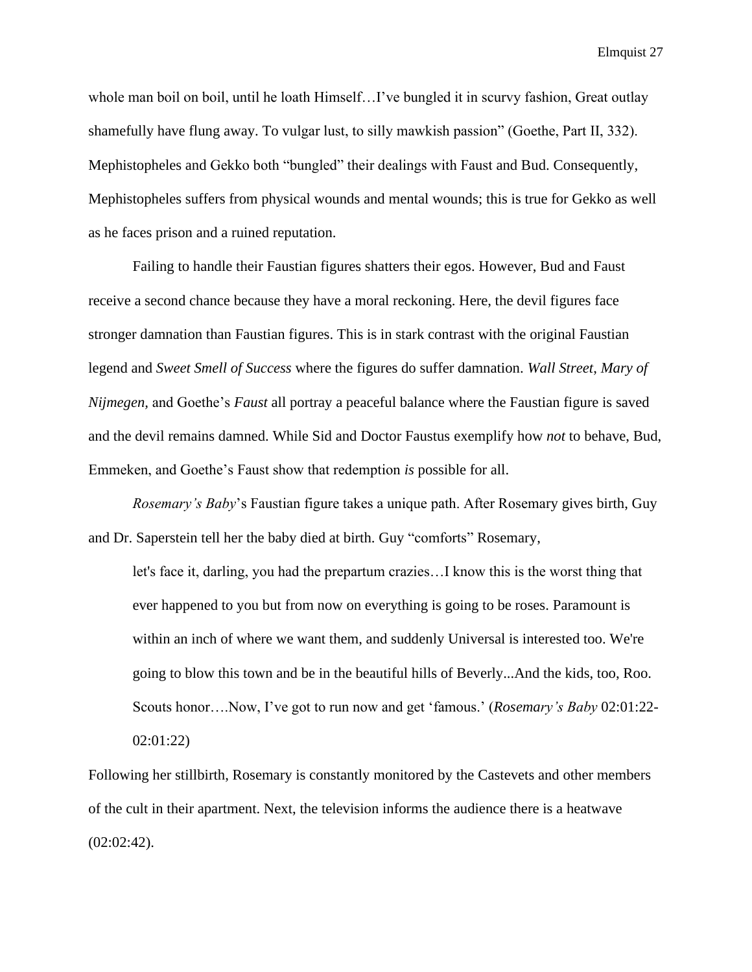whole man boil on boil, until he loath Himself…I've bungled it in scurvy fashion, Great outlay shamefully have flung away. To vulgar lust, to silly mawkish passion" (Goethe, Part II, 332). Mephistopheles and Gekko both "bungled" their dealings with Faust and Bud. Consequently, Mephistopheles suffers from physical wounds and mental wounds; this is true for Gekko as well as he faces prison and a ruined reputation.

Failing to handle their Faustian figures shatters their egos. However, Bud and Faust receive a second chance because they have a moral reckoning. Here, the devil figures face stronger damnation than Faustian figures. This is in stark contrast with the original Faustian legend and *Sweet Smell of Success* where the figures do suffer damnation. *Wall Street*, *Mary of Nijmegen,* and Goethe's *Faust* all portray a peaceful balance where the Faustian figure is saved and the devil remains damned. While Sid and Doctor Faustus exemplify how *not* to behave, Bud, Emmeken, and Goethe's Faust show that redemption *is* possible for all.

*Rosemary's Baby*'s Faustian figure takes a unique path. After Rosemary gives birth, Guy and Dr. Saperstein tell her the baby died at birth. Guy "comforts" Rosemary,

let's face it, darling, you had the prepartum crazies…I know this is the worst thing that ever happened to you but from now on everything is going to be roses. Paramount is within an inch of where we want them, and suddenly Universal is interested too. We're going to blow this town and be in the beautiful hills of Beverly...And the kids, too, Roo. Scouts honor….Now, I've got to run now and get 'famous.' (*Rosemary's Baby* 02:01:22- 02:01:22)

Following her stillbirth, Rosemary is constantly monitored by the Castevets and other members of the cult in their apartment. Next, the television informs the audience there is a heatwave (02:02:42).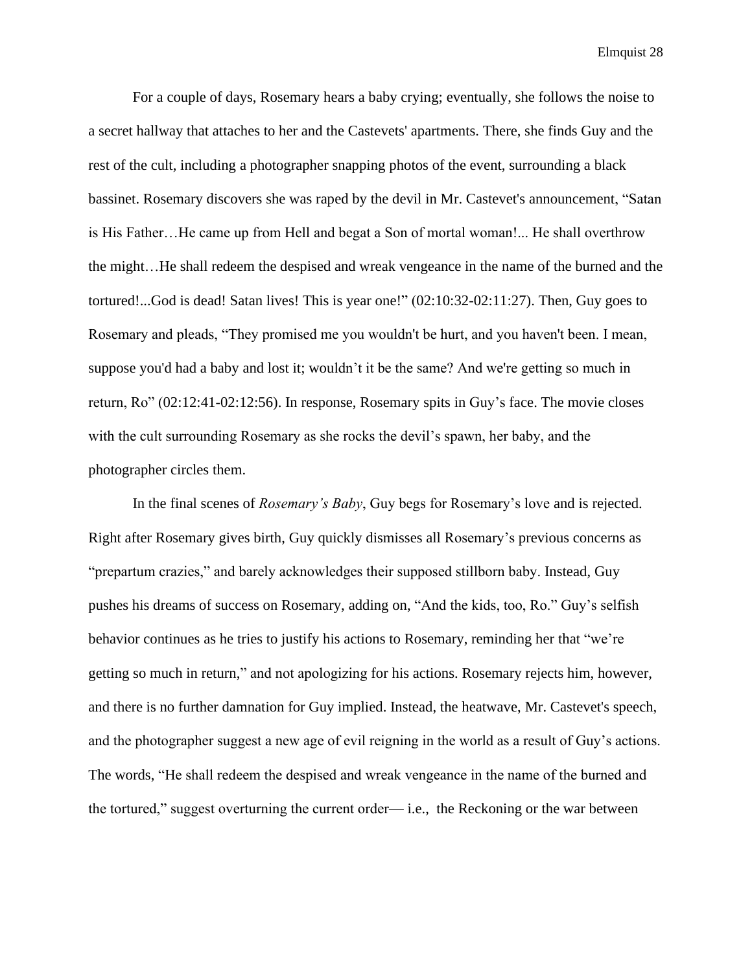For a couple of days, Rosemary hears a baby crying; eventually, she follows the noise to a secret hallway that attaches to her and the Castevets' apartments. There, she finds Guy and the rest of the cult, including a photographer snapping photos of the event, surrounding a black bassinet. Rosemary discovers she was raped by the devil in Mr. Castevet's announcement, "Satan is His Father…He came up from Hell and begat a Son of mortal woman!... He shall overthrow the might…He shall redeem the despised and wreak vengeance in the name of the burned and the tortured!...God is dead! Satan lives! This is year one!" (02:10:32-02:11:27). Then, Guy goes to Rosemary and pleads, "They promised me you wouldn't be hurt, and you haven't been. I mean, suppose you'd had a baby and lost it; wouldn't it be the same? And we're getting so much in return, Ro" (02:12:41-02:12:56). In response, Rosemary spits in Guy's face. The movie closes with the cult surrounding Rosemary as she rocks the devil's spawn, her baby, and the photographer circles them.

In the final scenes of *Rosemary's Baby*, Guy begs for Rosemary's love and is rejected. Right after Rosemary gives birth, Guy quickly dismisses all Rosemary's previous concerns as "prepartum crazies," and barely acknowledges their supposed stillborn baby. Instead, Guy pushes his dreams of success on Rosemary, adding on, "And the kids, too, Ro." Guy's selfish behavior continues as he tries to justify his actions to Rosemary, reminding her that "we're getting so much in return," and not apologizing for his actions. Rosemary rejects him, however, and there is no further damnation for Guy implied. Instead, the heatwave, Mr. Castevet's speech, and the photographer suggest a new age of evil reigning in the world as a result of Guy's actions. The words, "He shall redeem the despised and wreak vengeance in the name of the burned and the tortured," suggest overturning the current order— i.e., the Reckoning or the war between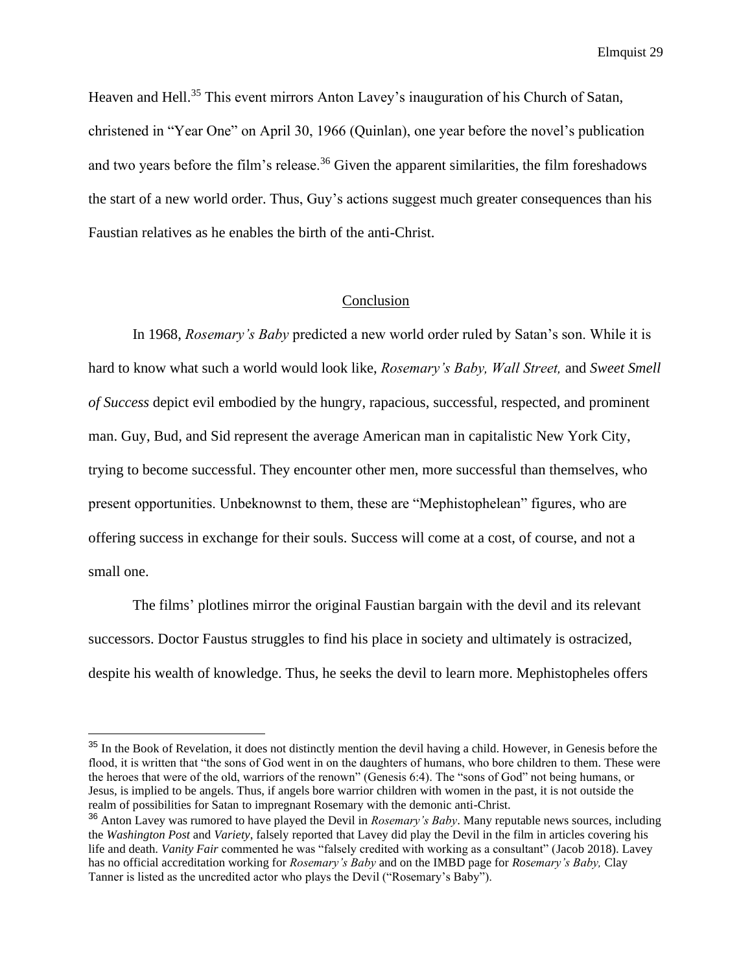Heaven and Hell.<sup>35</sup> This event mirrors Anton Lavey's inauguration of his Church of Satan, christened in "Year One" on April 30, 1966 (Quinlan), one year before the novel's publication and two years before the film's release.<sup>36</sup> Given the apparent similarities, the film foreshadows the start of a new world order. Thus, Guy's actions suggest much greater consequences than his Faustian relatives as he enables the birth of the anti-Christ.

## Conclusion

In 1968, *Rosemary's Baby* predicted a new world order ruled by Satan's son. While it is hard to know what such a world would look like, *Rosemary's Baby, Wall Street,* and *Sweet Smell of Success* depict evil embodied by the hungry, rapacious, successful, respected, and prominent man. Guy, Bud, and Sid represent the average American man in capitalistic New York City, trying to become successful. They encounter other men, more successful than themselves, who present opportunities. Unbeknownst to them, these are "Mephistophelean" figures, who are offering success in exchange for their souls. Success will come at a cost, of course, and not a small one.

The films' plotlines mirror the original Faustian bargain with the devil and its relevant successors. Doctor Faustus struggles to find his place in society and ultimately is ostracized, despite his wealth of knowledge. Thus, he seeks the devil to learn more. Mephistopheles offers

<sup>&</sup>lt;sup>35</sup> In the Book of Revelation, it does not distinctly mention the devil having a child. However, in Genesis before the flood, it is written that "the sons of God went in on the daughters of humans, who bore children to them. These were the heroes that were of the old, warriors of the renown" (Genesis 6:4). The "sons of God" not being humans, or Jesus, is implied to be angels. Thus, if angels bore warrior children with women in the past, it is not outside the realm of possibilities for Satan to impregnant Rosemary with the demonic anti-Christ.

<sup>36</sup> Anton Lavey was rumored to have played the Devil in *Rosemary's Baby*. Many reputable news sources, including the *[Washington Post](https://www.washingtonpost.com/archive/local/1997/11/09/anton-s-lavey-dies-at-67/c546b323-acb9-463e-ad96-7da298f9e4d8/)* and *[Variety](https://variety.com/1997/scene/people-news/anton-szandor-lavey-1116674361/)*, falsely reported that Lavey did play the Devil in the film in articles covering his life and death. *Vanity Fair* commented he was "falsely credited with working as a consultant" (Jacob 2018). Lavey has no official accreditation working for *Rosemary's Baby* and on the IMBD page for *Rosemary's Baby,* Clay Tanner is listed as the uncredited actor who plays the Devil ("Rosemary's Baby").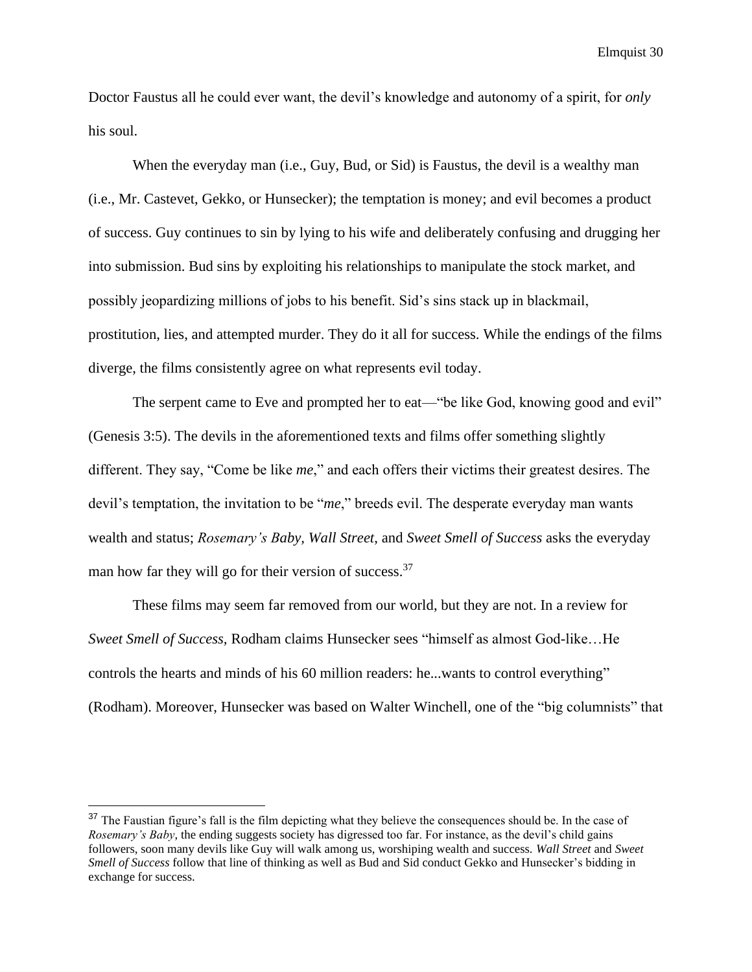Doctor Faustus all he could ever want, the devil's knowledge and autonomy of a spirit, for *only* his soul.

When the everyday man (i.e., Guy, Bud, or Sid) is Faustus, the devil is a wealthy man (i.e., Mr. Castevet, Gekko, or Hunsecker); the temptation is money; and evil becomes a product of success. Guy continues to sin by lying to his wife and deliberately confusing and drugging her into submission. Bud sins by exploiting his relationships to manipulate the stock market, and possibly jeopardizing millions of jobs to his benefit. Sid's sins stack up in blackmail, prostitution, lies, and attempted murder. They do it all for success. While the endings of the films diverge, the films consistently agree on what represents evil today.

The serpent came to Eve and prompted her to eat—"be like God, knowing good and evil" (Genesis 3:5). The devils in the aforementioned texts and films offer something slightly different. They say, "Come be like *me*," and each offers their victims their greatest desires. The devil's temptation, the invitation to be "*me*," breeds evil. The desperate everyday man wants wealth and status; *Rosemary's Baby, Wall Street*, and *Sweet Smell of Success* asks the everyday man how far they will go for their version of success.  $37$ 

These films may seem far removed from our world, but they are not. In a review for *Sweet Smell of Success,* Rodham claims Hunsecker sees "himself as almost God-like…He controls the hearts and minds of his 60 million readers: he...wants to control everything" (Rodham). Moreover, Hunsecker was based on Walter Winchell, one of the "big columnists" that

<sup>&</sup>lt;sup>37</sup> The Faustian figure's fall is the film depicting what they believe the consequences should be. In the case of *Rosemary's Baby*, the ending suggests society has digressed too far. For instance, as the devil's child gains followers, soon many devils like Guy will walk among us, worshiping wealth and success. *Wall Street* and *Sweet Smell of Success* follow that line of thinking as well as Bud and Sid conduct Gekko and Hunsecker's bidding in exchange for success.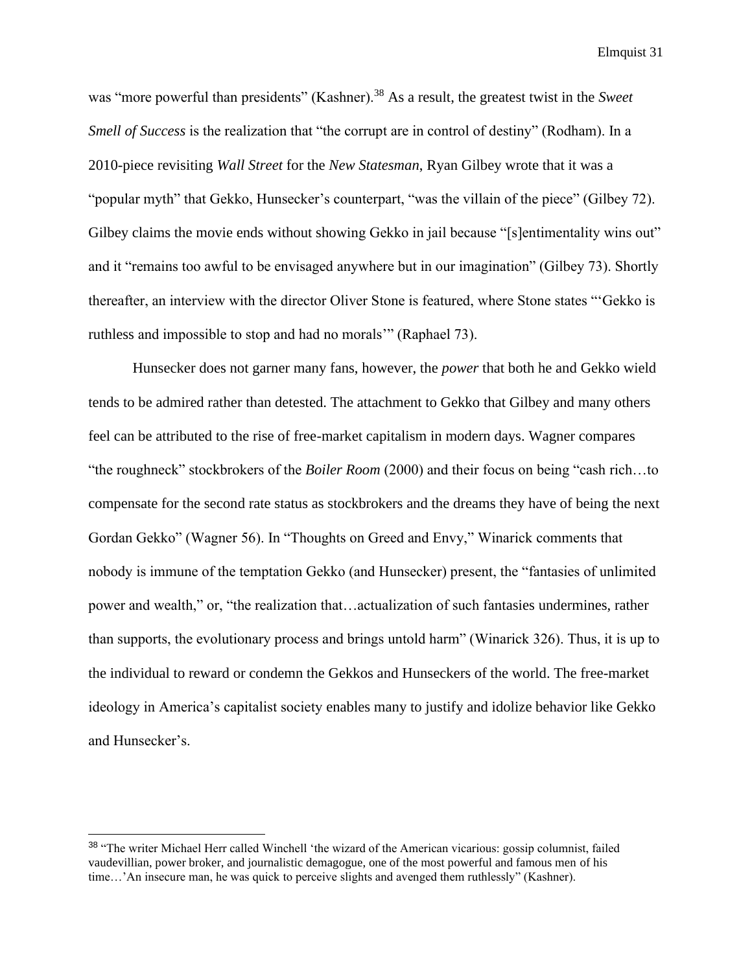was "more powerful than presidents" (Kashner).<sup>38</sup> As a result, the greatest twist in the *Sweet Smell of Success* is the realization that "the corrupt are in control of destiny" (Rodham). In a 2010-piece revisiting *Wall Street* for the *New Statesman*, Ryan Gilbey wrote that it was a "popular myth" that Gekko, Hunsecker's counterpart, "was the villain of the piece" (Gilbey 72). Gilbey claims the movie ends without showing Gekko in jail because "[s]entimentality wins out" and it "remains too awful to be envisaged anywhere but in our imagination" (Gilbey 73). Shortly thereafter, an interview with the director Oliver Stone is featured, where Stone states "'Gekko is ruthless and impossible to stop and had no morals'" (Raphael 73).

Hunsecker does not garner many fans, however, the *power* that both he and Gekko wield tends to be admired rather than detested. The attachment to Gekko that Gilbey and many others feel can be attributed to the rise of free-market capitalism in modern days. Wagner compares "the roughneck" stockbrokers of the *Boiler Room* (2000) and their focus on being "cash rich…to compensate for the second rate status as stockbrokers and the dreams they have of being the next Gordan Gekko" (Wagner 56). In "Thoughts on Greed and Envy," Winarick comments that nobody is immune of the temptation Gekko (and Hunsecker) present, the "fantasies of unlimited power and wealth," or, "the realization that…actualization of such fantasies undermines, rather than supports, the evolutionary process and brings untold harm" (Winarick 326). Thus, it is up to the individual to reward or condemn the Gekkos and Hunseckers of the world. The free-market ideology in America's capitalist society enables many to justify and idolize behavior like Gekko and Hunsecker's.

<sup>38</sup> "The writer Michael Herr called Winchell 'the wizard of the American vicarious: gossip columnist, failed vaudevillian, power broker, and journalistic demagogue, one of the most powerful and famous men of his time…'An insecure man, he was quick to perceive slights and avenged them ruthlessly" (Kashner).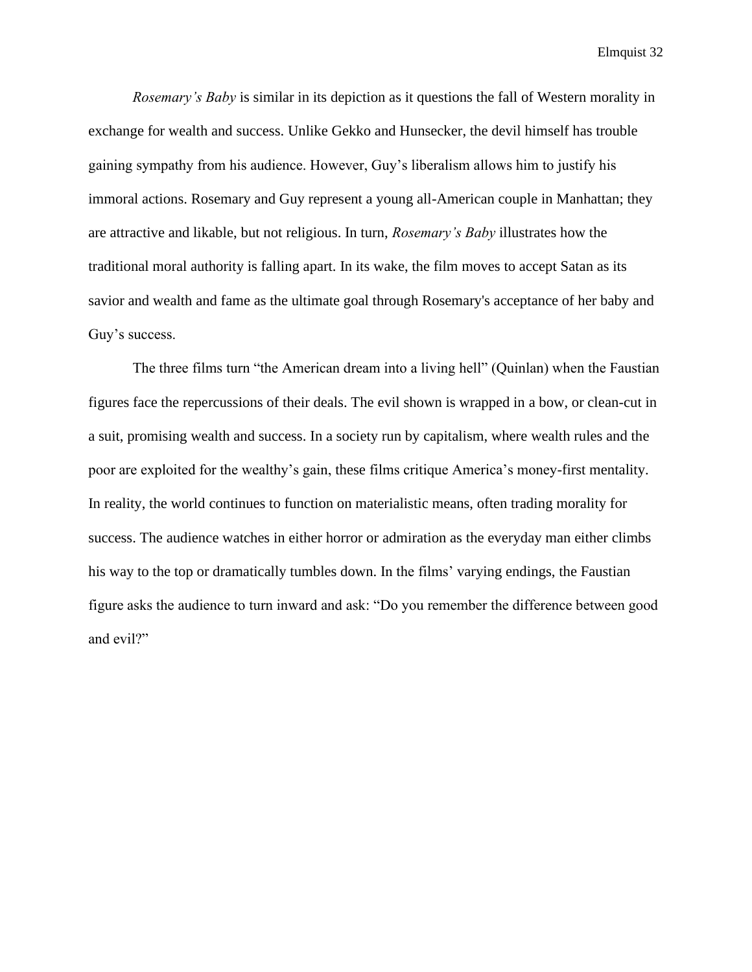*Rosemary's Baby* is similar in its depiction as it questions the fall of Western morality in exchange for wealth and success. Unlike Gekko and Hunsecker, the devil himself has trouble gaining sympathy from his audience. However, Guy's liberalism allows him to justify his immoral actions. Rosemary and Guy represent a young all-American couple in Manhattan; they are attractive and likable, but not religious. In turn, *Rosemary's Baby* illustrates how the traditional moral authority is falling apart. In its wake, the film moves to accept Satan as its savior and wealth and fame as the ultimate goal through Rosemary's acceptance of her baby and Guy's success.

The three films turn "the American dream into a living hell" (Quinlan) when the Faustian figures face the repercussions of their deals. The evil shown is wrapped in a bow, or clean-cut in a suit, promising wealth and success. In a society run by capitalism, where wealth rules and the poor are exploited for the wealthy's gain, these films critique America's money-first mentality. In reality, the world continues to function on materialistic means, often trading morality for success. The audience watches in either horror or admiration as the everyday man either climbs his way to the top or dramatically tumbles down. In the films' varying endings, the Faustian figure asks the audience to turn inward and ask: "Do you remember the difference between good and evil?"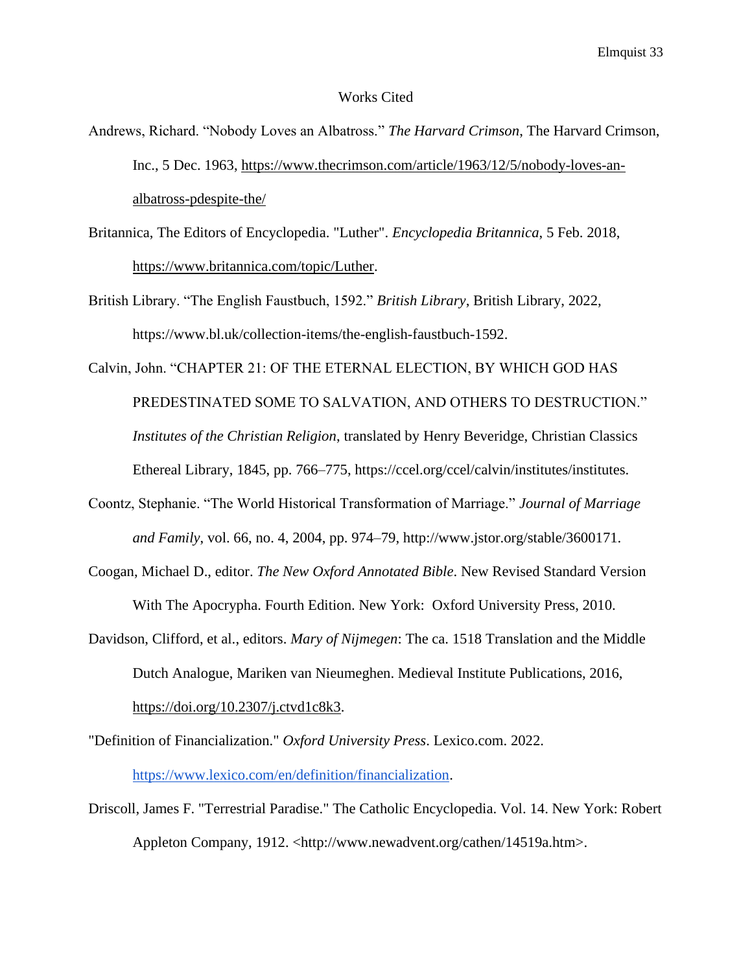#### Works Cited

- Andrews, Richard. "Nobody Loves an Albatross." *The Harvard Crimson*, The Harvard Crimson, Inc., 5 Dec. 1963[,](https://www.thecrimson.com/article/1963/12/5/nobody-loves-an-albatross-pdespite-the/) [https://www.thecrimson.com/article/1963/12/5/nobody-loves-an](https://www.thecrimson.com/article/1963/12/5/nobody-loves-an-albatross-pdespite-the/)[albatross-pdespite-the/](https://www.thecrimson.com/article/1963/12/5/nobody-loves-an-albatross-pdespite-the/)
- Britannica, The Editors of Encyclopedia. "Luther". *Encyclopedia Britannica*, 5 Feb. 2018[,](https://www.britannica.com/topic/Luther) [https://www.britannica.com/topic/Luther.](https://www.britannica.com/topic/Luther)
- British Library. "The English Faustbuch, 1592." *British Library*, British Library, 2022, https://www.bl.uk/collection-items/the-english-faustbuch-1592.
- Calvin, John. "CHAPTER 21: OF THE ETERNAL ELECTION, BY WHICH GOD HAS PREDESTINATED SOME TO SALVATION, AND OTHERS TO DESTRUCTION." *Institutes of the Christian Religion*, translated by Henry Beveridge, Christian Classics Ethereal Library, 1845, pp. 766–775, https://ccel.org/ccel/calvin/institutes/institutes.
- Coontz, Stephanie. "The World Historical Transformation of Marriage." *Journal of Marriage and Family*, vol. 66, no. 4, 2004, pp. 974–79, http://www.jstor.org/stable/3600171.
- Coogan, Michael D., editor. *The New Oxford Annotated Bible*. New Revised Standard Version With The Apocrypha. Fourth Edition. New York: Oxford University Press, 2010.
- Davidson, Clifford, et al., editors. *Mary of Nijmegen*: The ca. 1518 Translation and the Middle Dutch Analogue, Mariken van Nieumeghen. Medieval Institute Publications, 2016, [https://doi.org/10.2307/j.ctvd1c8k3.](https://doi.org/10.2307/j.ctvd1c8k3)
- "Definition of Financialization." *Oxford University Press*. Lexico.com. 2022. [https://www.lexico.com/en/definition/financialization.](https://www.lexico.com/en/definition/financialization)
- Driscoll, James F. "Terrestrial Paradise." The Catholic Encyclopedia. Vol. 14. New York: Robert Appleton Company, 1912. <http://www.newadvent.org/cathen/14519a.htm>.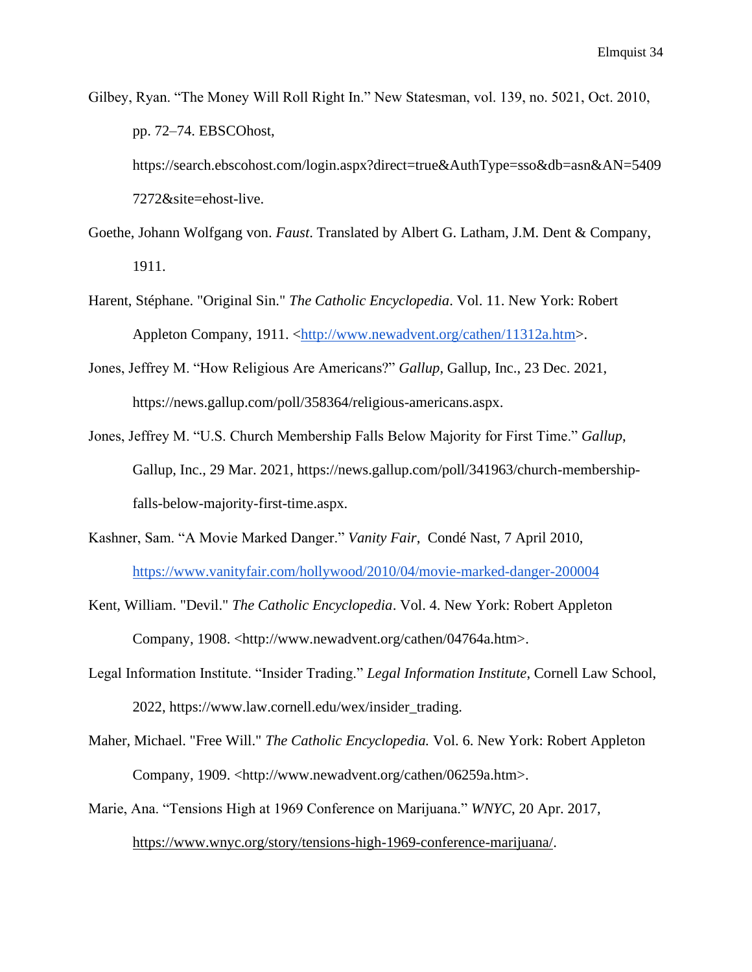Gilbey, Ryan. "The Money Will Roll Right In." New Statesman, vol. 139, no. 5021, Oct. 2010, pp. 72–74. EBSCOhost,

https://search.ebscohost.com/login.aspx?direct=true&AuthType=sso&db=asn&AN=5409 7272&site=ehost-live.

- Goethe, Johann Wolfgang von. *Faust*. Translated by Albert G. Latham, J.M. Dent & Company, 1911.
- Harent, Stéphane. "Original Sin." *The Catholic Encyclopedia*. Vol. 11. New York: Robert Appleton Company, 1911. [<http://www.newadvent.org/cathen/11312a.htm>](http://www.newadvent.org/cathen/11312a.htm).
- Jones, Jeffrey M. "How Religious Are Americans?" *Gallup*, Gallup, Inc., 23 Dec. 2021, https://news.gallup.com/poll/358364/religious-americans.aspx.
- Jones, Jeffrey M. "U.S. Church Membership Falls Below Majority for First Time." *Gallup*, Gallup, Inc., 29 Mar. 2021, https://news.gallup.com/poll/341963/church-membershipfalls-below-majority-first-time.aspx.
- Kashner, Sam. "A Movie Marked Danger." *Vanity Fair*, Condé Nast, 7 April 2010, <https://www.vanityfair.com/hollywood/2010/04/movie-marked-danger-200004>
- Kent, William. "Devil." *The Catholic Encyclopedia*. Vol. 4. New York: Robert Appleton Company, 1908. <http://www.newadvent.org/cathen/04764a.htm>.
- Legal Information Institute. "Insider Trading." *Legal Information Institute*, Cornell Law School, 2022, https://www.law.cornell.edu/wex/insider\_trading.
- Maher, Michael. "Free Will." *The Catholic Encyclopedia.* Vol. 6. New York: Robert Appleton Company, 1909. <http://www.newadvent.org/cathen/06259a.htm>.
- Marie, Ana. "Tensions High at 1969 Conference on Marijuana." *WNYC*, 20 Apr. 2017[,](https://www.wnyc.org/story/tensions-high-1969-conference-marijuana/) [https://www.wnyc.org/story/tensions-high-1969-conference-marijuana/.](https://www.wnyc.org/story/tensions-high-1969-conference-marijuana/)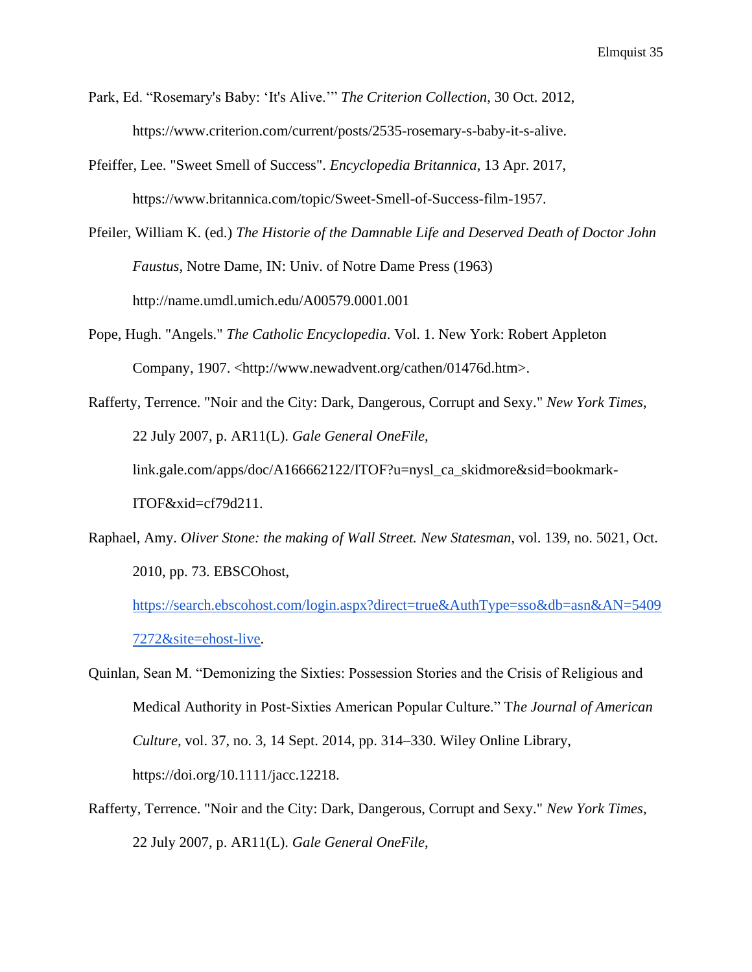- Park, Ed. "Rosemary's Baby: 'It's Alive.'" *The Criterion Collection*, 30 Oct. 2012, https://www.criterion.com/current/posts/2535-rosemary-s-baby-it-s-alive.
- Pfeiffer, Lee. "Sweet Smell of Success". *Encyclopedia Britannica*, 13 Apr. 2017, https://www.britannica.com/topic/Sweet-Smell-of-Success-film-1957.
- Pfeiler, William K. (ed.) *The Historie of the Damnable Life and Deserved Death of Doctor John Faustus,* Notre Dame, IN: Univ. of Notre Dame Press (1963) <http://name.umdl.umich.edu/A00579.0001.001>
- Pope, Hugh. "Angels." *The Catholic Encyclopedia*. Vol. 1. New York: Robert Appleton Company, 1907. <http://www.newadvent.org/cathen/01476d.htm>.
- Rafferty, Terrence. "Noir and the City: Dark, Dangerous, Corrupt and Sexy." *New York Times*, 22 July 2007, p. AR11(L). *Gale General OneFile*, link.gale.com/apps/doc/A166662122/ITOF?u=nysl\_ca\_skidmore&sid=bookmark-ITOF&xid=cf79d211.
- Raphael, Amy. *Oliver Stone: the making of Wall Street. New Statesman*, vol. 139, no. 5021, Oct. 2010, pp. 73. EBSCOhost,

[https://search.ebscohost.com/login.aspx?direct=true&AuthType=sso&db=asn&AN=5409](https://search.ebscohost.com/login.aspx?direct=true&AuthType=sso&db=asn&AN=54097272&site=ehost-live) [7272&site=ehost-live.](https://search.ebscohost.com/login.aspx?direct=true&AuthType=sso&db=asn&AN=54097272&site=ehost-live)

- Quinlan, Sean M. "Demonizing the Sixties: Possession Stories and the Crisis of Religious and Medical Authority in Post-Sixties American Popular Culture." T*he Journal of American Culture,* vol. 37, no. 3, 14 Sept. 2014, pp. 314–330. Wiley Online Library, https://doi.org/10.1111/jacc.12218.
- Rafferty, Terrence. "Noir and the City: Dark, Dangerous, Corrupt and Sexy." *New York Times*, 22 July 2007, p. AR11(L). *Gale General OneFile*,